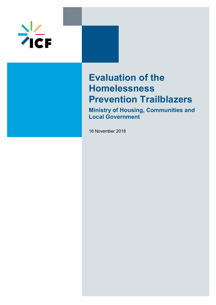

# **Evaluation of the Homelessness Prevention Trailblazers**

**Ministry of Housing, Communities and Local Government**

16 November 2018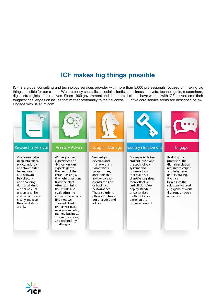## **ICF makes big things possible**

ICF is a global consulting and technology services provider with more than 5,000 professionals focused on making big things possible for our clients. We are policy specialists, social scientists, business analysts, technologists, researchers, digital strategists and creatives. Since 1969 government and commercial clients have worked with ICF to overcome their toughest challenges on issues that matter profoundly to their success. Our five core service areas are described below. Engage with us at icf.com.



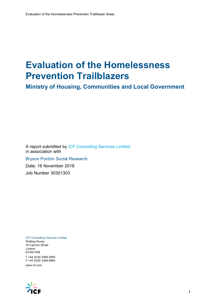# **Evaluation of the Homelessness Prevention Trailblazers**

**Ministry of Housing, Communities and Local Government**

A report submitted by ICF Consulting Services Limited in association with Bryson Purdon Social Research Date: 16 November 2018 Job Number 30301303

ICF Consulting Services Limited Watling House 33 Cannon Street London EC4M 5SB

T +44 (0)20 3096 4800 F +44 (0)20 3368 6960 www.icf.com

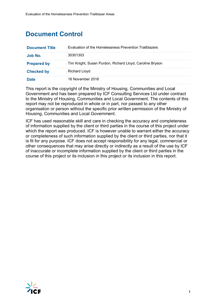## **Document Control**

| <b>Document Title</b> | Evaluation of the Homelessness Prevention Trailblazers   |
|-----------------------|----------------------------------------------------------|
| Job No.               | 30301303                                                 |
| <b>Prepared by</b>    | Tim Knight, Susan Purdon, Richard Lloyd, Caroline Bryson |
| <b>Checked by</b>     | <b>Richard Lloyd</b>                                     |
| <b>Date</b>           | 16 November 2018                                         |

This report is the copyright of the Ministry of Housing, Communities and Local Government and has been prepared by ICF Consulting Services Ltd under contract to the Ministry of Housing, Communities and Local Government. The contents of this report may not be reproduced in whole or in part, nor passed to any other organisation or person without the specific prior written permission of the Ministry of Housing, Communities and Local Government.

ICF has used reasonable skill and care in checking the accuracy and completeness of information supplied by the client or third parties in the course of this project under which the report was produced. ICF is however unable to warrant either the accuracy or completeness of such information supplied by the client or third parties, nor that it is fit for any purpose. ICF does not accept responsibility for any legal, commercial or other consequences that may arise directly or indirectly as a result of the use by ICF of inaccurate or incomplete information supplied by the client or third parties in the course of this project or its inclusion in this project or its inclusion in this report.

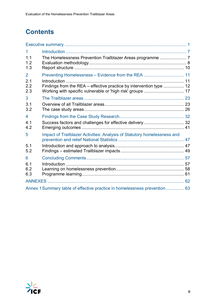## **Contents**

| 1                 |                                                                           |  |
|-------------------|---------------------------------------------------------------------------|--|
| 1.1<br>1.2<br>1.3 |                                                                           |  |
| $\overline{2}$    | Preventing Homelessness - Evidence from the REA  11                       |  |
| 2.1<br>2.2<br>2.3 | Findings from the REA - effective practice by intervention type  12       |  |
| 3                 |                                                                           |  |
| 3.1<br>3.2        |                                                                           |  |
| 4                 |                                                                           |  |
| 4.1<br>4.2        | Success factors and challenges for effective delivery 32                  |  |
| 5                 | Impact of Trailblazer Activities: Analysis of Statutory homelessness and  |  |
| 5.1<br>5.2        |                                                                           |  |
| 6                 |                                                                           |  |
| 6.1<br>6.2<br>6.3 |                                                                           |  |
|                   |                                                                           |  |
|                   | Annex 1 Summary table of effective practice in homelessness prevention 63 |  |

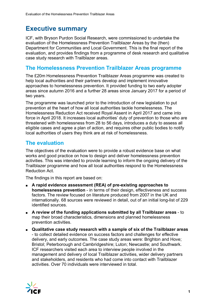## <span id="page-5-0"></span>**Executive summary**

ICF, with Bryson Purdon Social Research, were commissioned to undertake the evaluation of the Homelessness Prevention Trailblazer Areas by the (then) Department for Communities and Local Government. This is the final report of the evaluation, and provides findings from a programme of desk research and qualitative case study research with Trailblazer areas.

## **The Homelessness Prevention Trailblazer Areas programme**

The £20m Homelessness Prevention Trailblazer Areas programme was created to help local authorities and their partners develop and implement innovative approaches to homelessness prevention. It provided funding to two early adopter areas since autumn 2016 and a further 28 areas since January 2017 for a period of two years.

The programme was launched prior to the introduction of new legislation to put prevention at the heart of how all local authorities tackle homelessness. The Homelessness Reduction Act received Royal Assent in April 2017 and came into force in April 2018. It increases local authorities' duty of prevention to those who are threatened with homelessness from 28 to 56 days, introduces a duty to assess all eligible cases and agree a plan of action, and requires other public bodies to notify local authorities of users they think are at risk of homelessness.

## **The evaluation**

The objectives of the evaluation were to provide a robust evidence base on what works and good practice on how to design and deliver homelessness prevention activities. This was intended to provide learning to inform the ongoing delivery of the Trailblazer programme and how all local authorities respond to the Homelessness Reduction Act.

The findings in this report are based on:

- **A rapid evidence assessment (REA) of pre-existing approaches to homelessness prevention** - in terms of their design, effectiveness and success factors. The review focused on literature produced from 2007 in the UK and internationally. 68 sources were reviewed in detail, out of an initial long-list of 229 identified sources.
- **A review of the funding applications submitted by all Trailblazer areas** to map their broad characteristics, dimensions and planned homelessness prevention activities.
- **Qualitative case study research with a sample of six of the Trailblazer areas** - to collect detailed evidence on success factors and challenges for effective delivery, and early outcomes. The case study areas were: Brighton and Hove; Bristol; Peterborough and Cambridgeshire; Luton; Newcastle; and Southwark. ICF researchers visited each area to interview people involved in the management and delivery of local Trailblazer activities, wider delivery partners and stakeholders, and residents who had come into contact with Trailblazer activities. Over 70 individuals were interviewed in total.

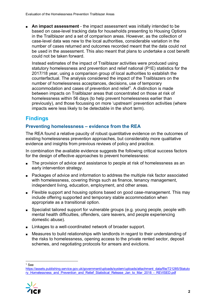■ **An impact assessment** - the impact assessment was initially intended to be based on case-level tracking data for households presenting to Housing Options in the Trailblazer and a set of comparison areas. However, as the collection of case-level data was new to the local authorities, considerable variation in the number of cases returned and outcomes recorded meant that the data could not be used in the assessment. This also meant that plans to undertake a cost benefit could not be taken forward.

Instead estimates of the impact of Trailblazer activities were produced using statutory homelessness and prevention and relief national (P1E) statistics for the 2017/18 year, using a comparison group of local authorities to establish the counterfactual. The analysis considered the impact of the Trailblazers on the number of homelessness acceptances, decisions, use of temporary accommodation and cases of prevention and relie[f1.](#page-6-0) A distinction is made between impacts on Trailblazer areas that concentrated on those at risk of homelessness within 56 days (to help prevent homelessness earlier than previously), and those focussing on more 'upstream' prevention activities (where impacts were less likely to be detectable in the short term).

## **Findings**

## **Preventing homelessness – evidence from the REA**

The REA found a relative paucity of robust quantitative evidence on the outcomes of existing homelessness prevention approaches, but considerably more qualitative evidence and insights from previous reviews of policy and practice.

In combination the available evidence suggests the following critical success factors for the design of effective approaches to prevent homelessness:

- The provision of advice and assistance to people at risk of homelessness as an early intervention strategy.
- Packages of advice and information to address the multiple risk factor associated with homelessness, covering things such as finance, tenancy management, independent living, education, employment, and other areas.
- Flexible support and housing options based on good case-management. This may include offering supported and temporary stable accommodation when appropriate as a transitional option.
- Specialist tailored support for vulnerable groups (e.g. young people, people with mental health difficulties, offenders, care leavers, and people experiencing domestic abuse).
- Linkages to a well-coordinated network of broader support.
- Measures to build relationships with landlords in regard to their understanding of the risks to homelessness, opening access to the private rented sector, deposit schemes, and negotiating protocols for arrears and evictions.

 $1$  See

<span id="page-6-0"></span>[https://assets.publishing.service.gov.uk/government/uploads/system/uploads/attachment\\_data/file/721285/Statuto](https://assets.publishing.service.gov.uk/government/uploads/system/uploads/attachment_data/file/721285/Statutory_Homelessness_and_Prevention_and_Relief_Statistical_Release_Jan_to_Mar_2018_-_REVISED.pdf) [ry\\_Homelessness\\_and\\_Prevention\\_and\\_Relief\\_Statistical\\_Release\\_Jan\\_to\\_Mar\\_2018\\_-\\_REVISED.pdf](https://assets.publishing.service.gov.uk/government/uploads/system/uploads/attachment_data/file/721285/Statutory_Homelessness_and_Prevention_and_Relief_Statistical_Release_Jan_to_Mar_2018_-_REVISED.pdf)

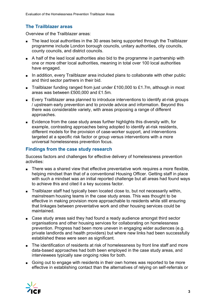## **The Trailblazer areas**

Overview of the Trailblazer areas:

- The lead local authorities in the 30 areas being supported through the Trailblazer programme include London borough councils, unitary authorities, city councils, county councils, and district councils.
- A half of the lead local authorities also bid to the programme in partnership with one or more other local authorities, meaning in total over 100 local authorities have engaged.
- In addition, every Trailblazer area included plans to collaborate with other public and third sector partners in their bid.
- Trailblazer funding ranged from just under £100,000 to £1.7m, although in most areas was between £500,000 and £1.5m.
- Every Trailblazer area planned to introduce interventions to identify at-risk groups / upstream early prevention and to provide advice and information. Beyond this there was considerable variety, with areas proposing a range of different approaches.
- Evidence from the case study areas further highlights this diversity with, for example, contrasting approaches being adopted to identify at-risk residents, different models for the provision of case-worker support, and interventions targeted at a specific risk factor or group versus interventions with a more universal homelessness prevention focus.

#### **Findings from the case study research**

Success factors and challenges for effective delivery of homelessness prevention activities:

- There was a shared view that effective preventative work requires a more flexible, helping mindset than that of a conventional Housing Officer. Getting staff in place with such a mindset was an initial reported challenge but all areas had found ways to achieve this and cited it a key success factor.
- Trailblazer staff had typically been located close to, but not necessarily within, mainstream housing teams in the case study areas. This was thought to be effective in making provision more approachable to residents while still ensuring that linkages between preventative work and other housing services could be maintained.
- Case study areas said they had found a ready audience amongst third sector organisations and other housing services for collaborating on homelessness prevention. Progress had been more uneven in engaging wider audiences (e.g. private landlords and health providers) but where new links had been successfully established these were seen as significant.
- The identification of residents at risk of homelessness by front line staff and more data-based approaches had both been employed in the case study areas, and interviewees typically saw ongoing roles for both.
- Going out to engage with residents in their own homes was reported to be more effective in establishing contact than the alternatives of relying on self-referrals or

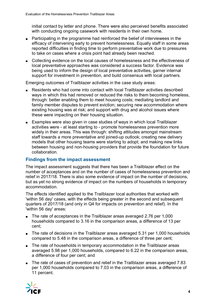initial contact by letter and phone. There were also perceived benefits associated with conducting ongoing casework with residents in their own home.

- Participating in the programme had reinforced the belief of interviewees in the efficacy of intervening early to prevent homelessness. Equally staff in some areas reported difficulties in finding time to perform preventative work due to pressures to take on cases where a crisis point had already been reached.
- Collecting evidence on the local causes of homelessness and the effectiveness of local preventative approaches was considered a success factor. Evidence was being used to inform the design of local preventative activities, garner internal support for investment in prevention, and build consensus with local partners.

Emerging outcomes of Trailblazer activities in the case study areas:

- Residents who had come into contact with local Trailblazer activities described ways in which this had removed or reduced the risks to them becoming homeless, through: better enabling them to meet housing costs; mediating landlord and family member disputes to prevent eviction; securing new accommodation where existing housing was at risk; and support with drug and alcohol issues where these were impacting on their housing situation.
- Examples were also given in case studies of ways in which local Trailblazer activities were - at least starting to - promote homelessness prevention more widely in their areas. This was through: shifting attitudes amongst mainstream staff towards a more preventative and joined-up outlook; creating new delivery models that other housing teams were starting to adopt; and making new links between housing and non-housing providers that provide the foundation for future collaboration.

#### **Findings from the impact assessment**

The impact assessment suggests that there has been a Trailblazer effect on the number of acceptances and on the number of cases of homelessness prevention and relief in 2017/18. There is also some evidence of impact on the number of decisions, but as yet no strong evidence of impact on the numbers of households in temporary accommodation.

The effects identified applied to the Trailblazer local authorities that worked with 'within 56 day' cases, with the effects being greater in the second and subsequent quarters of 2017/18 (and only in Q4 for impacts on prevention and relief). In the 'within 56 day' areas:

- The rate of acceptances in the Trailblazer areas averaged 2.76 per 1,000 households compared to 3.16 in the comparison areas, a difference of 13 per cent;
- The rate of decisions in the Trailblazer areas averaged 5.31 per 1,000 households compared to 5.48 in the comparison areas, a difference of three per cent;
- The rate of households in temporary accommodation in the Trailblazer areas averaged 5.98 per 1,000 households, compared to 6.22 in the comparison areas, a difference of four per cent; and
- The rate of cases of prevention and relief in the Trailblazer areas averaged 7.83 per 1,000 households compared to 7.03 in the comparison areas, a difference of 11 percent.

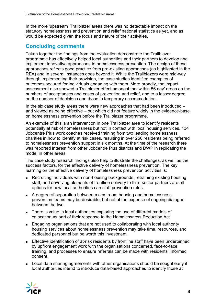In the more 'upstream' Trailblazer areas there was no detectable impact on the statutory homelessness and prevention and relief national statistics as yet, and as would be expected given the focus and nature of their activities.

## **Concluding comments**

Taken together the findings from the evaluation demonstrate the Trailblazer programme has effectively helped local authorities and their partners to develop and implement innovative approaches to homelessness prevention. The design of these approaches reflects good practice from pre-existing approaches (as highlighted in the REA) and in several instances goes beyond it. While the Trailblazers were mid-way through implementing their provision, the case studies identified examples of outcomes secured for individuals engaging with them. More broadly, the impact assessment also showed a Trailblazer effect amongst the 'within 56 day' areas on the numbers of acceptances and cases of prevention and relief, and to a lesser degree on the number of decisions and those in temporary accommodation.

In the six case study areas there were new approaches that had been introduced – and viewed as being effective – but which did not feature widely in the evidence-base on homelessness prevention before the Trailblazer programme.

An example of this is an intervention in one Trailblazer area to identify residents potentially at risk of homelessness but not in contact with local housing services. 134 Jobcentre Plus work coaches received training from two leading homelessness charities in how to identify at risk cases, resulting in over 250 residents being referred to homelessness prevention support in six months. At the time of the research there was reported interest from other Jobcentre Plus districts and DWP in replicating the model in other areas.

The case study research findings also help to illustrate the challenges, as well as the success factors, for the effective delivery of homelessness prevention. The key learning on the effective delivery of homelessness prevention activities is:

- Recruiting individuals with non-housing backgrounds, retraining existing housing staff, and devolving elements of frontline delivery to third sector partners are all options for how local authorities can staff prevention roles.
- A degree of separation between mainstream housing and homelessness prevention teams may be desirable, but not at the expense of ongoing dialogue between the two.
- There is value in local authorities exploring the use of different models of colocation as part of their response to the Homelessness Reduction Act.
- Engaging organisations that are not used to collaborating with local authority housing services about homelessness prevention may take time, resources, and dedicated personnel but be worth this investment.
- Effective identification of at-risk residents by frontline staff have been underpinned by upfront engagement work with the organisations concerned, face-to-face training, and processes to ensure referrals can be made with residents' informed consent.
- Local data sharing agreements with other organisations should be sought early if local authorities intend to introduce data-based approaches to identify those at

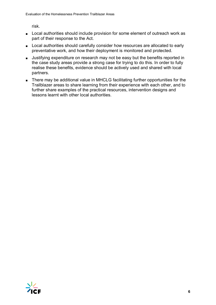risk.

- Local authorities should include provision for some element of outreach work as part of their response to the Act.
- Local authorities should carefully consider how resources are allocated to early preventative work, and how their deployment is monitored and protected.
- Justifying expenditure on research may not be easy but the benefits reported in the case study areas provide a strong case for trying to do this. In order to fully realise these benefits, evidence should be actively used and shared with local partners.
- There may be additional value in MHCLG facilitating further opportunities for the Trailblazer areas to share learning from their experience with each other, and to further share examples of the practical resources, intervention designs and lessons learnt with other local authorities.

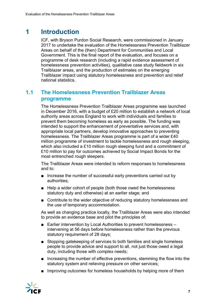## <span id="page-11-0"></span>**1 Introduction**

ICF, with Bryson Purdon Social Research, were commissioned in January 2017 to undertake the evaluation of the Homelessness Prevention Trailblazer Areas on behalf of the (then) Department for Communities and Local Government. This is the final report of the evaluation, and focuses on a programme of desk research (including a rapid evidence assessment of homelessness prevention activities), qualitative case study fieldwork in six Trailblazer areas, and the production of estimates on the emerging Trailblazer impact using statutory homelessness and prevention and relief national statistics.

## <span id="page-11-1"></span>**1.1 The Homelessness Prevention Trailblazer Areas programme**

The Homelessness Prevention Trailblazer Areas programme was launched in December 2016, with a budget of £20 million to establish a network of local authority areas across England to work with individuals and families to prevent them becoming homeless as early as possible. The funding was intended to support the enhancement of preventative services and, with appropriate local partners, develop innovative approaches to preventing homelessness. The Trailblazer Areas programme is part of a wider £40 million programme of investment to tackle homelessness and rough sleeping, which also included a £10 million rough sleeping fund and a commitment of £10 million to pay for outcomes achieved by Social Impact Bonds for the most entrenched rough sleepers.

The Trailblazer Areas were intended to reform responses to homelessness and to:

- Increase the number of successful early preventions carried out by authorities;
- Help a wider cohort of people (both those owed the homelessness statutory duty and otherwise) at an earlier stage; and
- Contribute to the wider objective of reducing statutory homelessness and the use of temporary accommodation.

As well as changing practice locally, the Trailblazer Areas were also intended to provide an evidence base and pilot the principles of:

- Earlier intervention by Local Authorities to prevent homelessness intervening at 56 days before homelessness rather than the previous statutory requirement of 28 days;
- Stopping gatekeeping of services to both families and single homeless people to provide advice and support to all, not just those owed a legal duty, including those with complex needs;
- Increasing the number of effective preventions, stemming the flow into the statutory system and relieving pressure on other services;
- Improving outcomes for homeless households by helping more of them

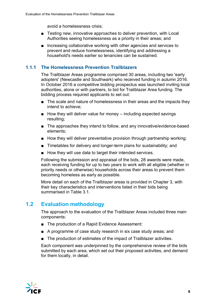avoid a homelessness crisis;

- Testing new, innovative approaches to deliver prevention, with Local Authorities seeing homelessness as a priority in their areas; and
- Increasing collaborative working with other agencies and services to prevent and reduce homelessness, identifying and addressing a household's needs earlier so tenancies can be sustained.

## **1.1.1 The Homelessness Prevention Trailblazers**

The Trailblazer Areas programme comprised 30 areas, including two 'early adopters' (Newcastle and Southwark) who received funding in autumn 2016. In October 2016 a competitive bidding prospectus was launched inviting local authorities, alone or with partners, to bid for Trailblazer Area funding. The bidding process required applicants to set out:

- The scale and nature of homelessness in their areas and the impacts they intend to achieve;
- $\blacksquare$  How they will deliver value for money including expected savings resulting;
- The approaches they intend to follow, and any innovative/evidence-based elements;
- How they will deliver preventative provision through partnership working;
- Timetables for delivery and longer-term plans for sustainability; and
- How they will use data to target their intended services.

Following the submission and appraisal of the bids, 28 awards were made, each receiving funding for up to two years to work with all eligible (whether in priority needs or otherwise) households across their areas to prevent them becoming homeless as early as possible.

More detail on each of the Trailblazer areas is provided in Chapter 3, with their key characteristics and interventions listed in their bids being summarised in Table 3.1.

## <span id="page-12-0"></span>**1.2 Evaluation methodology**

The approach to the evaluation of the Trailblazer Areas included three main components:

- The production of a Rapid Evidence Assessment:
- A programme of case study research in six case study areas; and
- The production of estimates of the impact of Trailblazer activities.

Each component was underpinned by the comprehensive review of the bids submitted by each area, which set out their proposed activities, and demand for them locally, in detail.

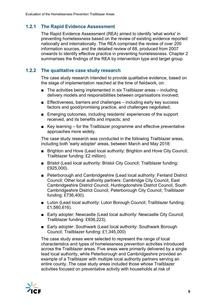## **1.2.1 The Rapid Evidence Assessment**

The Rapid Evidence Assessment (REA) aimed to identify 'what works' in preventing homelessness based on the review of existing evidence reported nationally and internationally. The REA comprised the review of over 200 information sources, and the detailed review of 68, produced from 2007 onwards to identify effective practice in preventing homelessness. Chapter 2 summarises the findings of the REA by intervention type and target group.

## **1.2.2 The qualitative case study research**

The case study research intended to provide qualitative evidence, based on the stage of implementation reached at the time of fieldwork, on:

- The activities being implemented in six Trailblazer areas including delivery models and responsibilities between organisations involved;
- Effectiveness, barriers and challenges including early key success factors and good/promising practice, and challenges negotiated;
- Emerging outcomes, including residents' experiences of the support received, and its benefits and impacts; and
- Key learning for the Trailblazer programme and effective preventative approaches more widely.

The case study research was conducted in the following Trailblazer areas, including both 'early adopter' areas, between March and May 2018:

- Brighton and Hove (Lead local authority: Brighton and Hove City Council; Trailblazer funding: £2 million).
- Bristol (Lead local authority: Bristol City Council; Trailblazer funding: £925,000).
- Peterborough and Cambridgeshire (Lead local authority: Fenland District Council; Other local authority partners: Cambridge City Council, East Cambridgeshire District Council, Huntingdonshire District Council, South Cambridgeshire District Council, Peterborough City Council; Trailblazer funding: £736,400).
- Luton (Lead local authority: Luton Borough Council; Trailblazer funding: £1,580,616).
- Early adopter: Newcastle (Lead local authority: Newcastle City Council; Trailblazer funding: £936,223).
- Early adopter: Southwark (Lead local authority: Southwark Borough Council; Trailblazer funding: £1,345,000)

The case study areas were selected to represent the range of local characteristics and types of homelessness prevention activities introduced across the Trailblazer areas. Five areas were primarily delivered by a single lead local authority, while Peterborough and Cambridgeshire provided an example of a Trailblazer with multiple local authority partners serving an entire county. The case study areas included those whose Trailblazer activities focused on preventative activity with households at risk of

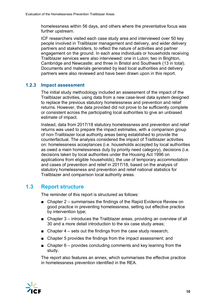homelessness within 56 days, and others where the preventative focus was further upstream.

ICF researchers visited each case study area and interviewed over 50 key people involved in Trailblazer management and delivery, and wider delivery partners and stakeholders, to reflect the nature of activities and partner engagement on the ground. In each area individuals or households receiving Trailblazer services were also interviewed: one in Luton; two in Brighton, Cambridge and Newcastle; and three in Bristol and Southwark (13 in total). Documents and materials generated by lead local authorities and delivery partners were also reviewed and have been drawn upon in this report.

#### **1.2.3 Impact assessment**

The initial study methodology included an assessment of the impact of the Trailblazer activities, using data from a new case-level data system designed to replace the previous statutory homelessness and prevention and relief returns. However, the data provided did not prove to be sufficiently complete or consistent across the participating local authorities to give an unbiased estimate of impact.

Instead, data from 2017/18 statutory homelessness and prevention and relief returns was used to prepare the impact estimates, with a comparison group of non-Trailblazer local authority areas being established to provide the counterfactual. The analysis considered the impact of Trailblazer activities on: homelessness acceptances (i.e. households accepted by local authorities as owed a main homelessness duty by priority need category), decisions (i.e. decisions taken by local authorities under the Housing Act 1996 on applications from eligible households), the use of temporary accommodation and cases of prevention and relief in 2017/18, based on the analysis of statutory homelessness and prevention and relief national statistics for Trailblazer and comparison local authority areas.

## <span id="page-14-0"></span>**1.3 Report structure**

The reminder of this report is structured as follows:

- Chapter 2 summarises the findings of the Rapid Evidence Review on good practice in preventing homelessness, setting out effective practice by intervention type;
- Chapter 3 introduces the Trailblazer areas, providing an overview of all 30 and a more detail introduction to the six case study areas;
- Chapter  $4 \text{sets}$  out the findings from the case study research;
- Chapter 5 provides the findings from the impact assessment; and
- Chapter  $6$  provides concluding comments and key learning from the study.

The report also features an annex, which summarises the effective practice in homelessness prevention identified in the REA.

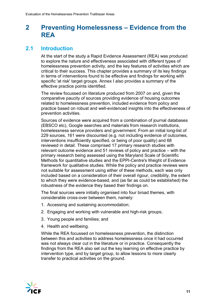## <span id="page-15-0"></span>**2 Preventing Homelessness – Evidence from the REA**

## <span id="page-15-1"></span>**2.1 Introduction**

At the start of the study a Rapid Evidence Assessment (REA) was produced to explore the nature and effectiveness associated with different types of homelessness prevention activity, and the key features of activities which are critical to their success. This chapter provides a summary of its key findings in terms of interventions found to be effective and findings for working with specific 'at risk' target groups. Annex I also provides a summary of the effective practice points identified.

The review focussed on literature produced from 2007 on and, given the comparative paucity of sources providing evidence of housing outcomes related to homelessness prevention, included evidence from policy and practice based on robust and well-evidenced insights into the effectiveness of prevention activities.

Sources of evidence were acquired from a combination of journal databases (EBSCO etc), Google searches and materials from research institutions, homelessness service providers and government. From an initial long-list of 229 sources, 161 were discounted (e.g. not including evidence of outcomes, interventions insufficiently specified, or being of poor quality) and 68 reviewed in detail. These comprised 17 primary research studies with relevant outcome evidence and 51 reviews of policy and practice – with the primary research being assessed using the Maryland Scale of Scientific Methods for quantitative studies and the EPPI-Centre's Weight of Evidence framework for qualitative studies. While the policy and practice reviews were not suitable for assessment using either of these methods, each was only included based on a consideration of their overall rigour, credibility, the extent to which they were evidence-based, and (as far as could be established) the robustness of the evidence they based their findings on.

The final sources were initially organised into four broad themes, with considerable cross-over between them, namely:

- 1. Accessing and sustaining accommodation;
- 2. Engaging and working with vulnerable and high-risk groups;
- 3. Young people and families; and
- 4. Health and wellbeing.

While the REA focussed on homelessness prevention, the distinction between this and activities to address homelessness once it had occurred was not always clear cut in the literature or in practice. Consequently the findings from the REA also set out the key learning on effective practice by intervention type, and by target group, to allow lessons to more clearly transfer to practical activities on the ground.

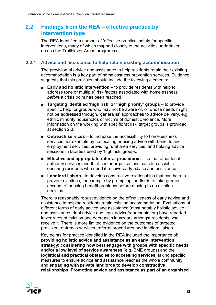## <span id="page-16-0"></span>**2.2 Findings from the REA – effective practice by intervention type**

The REA identified a number of 'effective practice' points for specific interventions, many of which mapped closely to the activities undertaken across the Trailblazer Areas programme.

#### **2.2.1 Advice and assistance to help retain existing accommodation**

The provision of advice and assistance to help residents retain their existing accommodation is a key part of homelessness prevention services. Evidence suggests that this provision should include the following elements:

- **Early and holistic intervention** to provide residents with help to address (one or multiple) risk factors associated with homelessness *before* a crisis point has been reached.
- **Targeting identified 'high risk' or 'high priority' groups** to provide specific help for groups who may not be aware of, or whose needs might not be addressed through, 'generalist' approaches to advice delivery, e.g. ethnic minority households or victims of domestic violence. More information on the working with specific 'at risk' target groups is provided at section 2.3.
- **Outreach services** to increase the accessibility to homelessness services, for example by co-locating housing advice with benefits and employment services, providing rural area services, and holding advice sessions in facilities used by 'high risk' groups.
- **Effective and appropriate referral procedures** so that other local authority services and third sector organisations can also assist in ensuring residents who need it receive early advice and assistance.
- **Landlord liaison** to develop constructive relationships that can help to prevent evictions, for example by prompting landlords to take greater account of housing benefit problems before moving to an eviction decision.

There is reasonably robust evidence on the effectiveness of early advice and assistance in helping residents retain existing accommodation. Evaluations of different forms of early advice and assistance (most notably holistic advice and assistance, debt advice and legal advice/representation**)** have reported lower rates of eviction and decreases in arrears amongst residents who receive it. There is more limited evidence on the outcomes of targeted provision, outreach services, referral procedures and landlord liaison.

Key points for practice identified in the REA included the importance of: **providing holistic advice and assistance as an early intervention strategy**; **considering how best engage with groups with specific needs and/or a low level of service awareness** (e.g. BME groups) and the **logistical and practical obstacles to accessing services**, taking specific measures to ensure advice and assistance reaches the whole community; and **engaging with private landlords to develop constructive relationships**. **Promoting advice and assistance as part of an organised** 

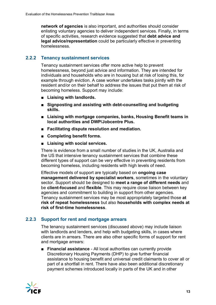**network of agencies** is also important, and authorities should consider enlisting voluntary agencies to deliver independent services. Finally, in terms of specific activities, research evidence suggested that **debt advice and legal advice/representation** could be particularly effective in preventing homelessness.

### **2.2.2 Tenancy sustainment services**

Tenancy sustainment services offer more active help to prevent homelessness, beyond just advice and information. They are intended for individuals and households who are in housing but at risk of losing this, for example through eviction. A case worker undertakes tasks jointly with the resident and/or on their behalf to address the issues that put them at risk of becoming homeless. Support may include:

- **Liaising with landlords.**
- Signposting and assisting with debt-counselling and budgeting **skills.**
- Liaising with mortgage companies, banks, Housing Benefit teams in **local authorities and DWP/Jobcentre Plus.**
- **Facilitating dispute resolution and mediation.**
- **Completing benefit forms.**
- Liaising with social services.

There is evidence from a small number of studies in the UK, Australia and the US that intensive tenancy sustainment services that combine these different types of support can be very effective in preventing residents from becoming homeless, including residents with high levels of need.

Effective models of support are typically based on **ongoing case management delivered by specialist workers**, sometimes in the voluntary sector. Support should be designed to **meet a range of different needs** and be **client-focused** and **flexible**. This may require close liaison between key agencies and commitment to building in support from other agencies. Tenancy sustainment services may be most appropriately targeted those **at risk of repeat homelessness** but also **households with complex needs at risk of first-time homelessness**.

## **2.2.3 Support for rent and mortgage arrears**

The tenancy sustainment services (discussed above) may include liaison with landlords and lenders, and help with budgeting skills, in cases where clients are in arrears. There are also other specific forms of support for rent and mortgage arrears:

■ **Financial assistance** - All local authorities can currently provide Discretionary Housing Payments (DHP) to give further financial assistance to housing benefit and universal credit claimants to cover all or part of a shortfall in rent. There have also been additional discretionary payment schemes introduced locally in parts of the UK and in other

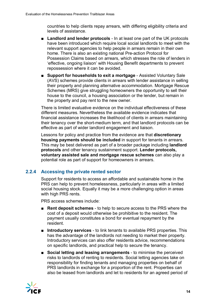countries to help clients repay arrears, with differing eligibility criteria and levels of assistance.

- **Landlord and lender protocols** In at least one part of the UK protocols have been introduced which require local social landlords to meet with the relevant support agencies to help people in arrears remain in their own home. There is also an existing national Pre-action Protocol for Possession Claims based on arrears, which stresses the role of lenders in 'effective, ongoing liaison' with Housing Benefit departments to prevent repossession where it can be avoided.
- **Support for households to exit a mortgage** Assisted Voluntary Sale (AVS) schemes provide clients in arrears with lender assistance in selling their property and planning alternative accommodation. Mortgage Rescue Schemes (MRS) give struggling homeowners the opportunity to sell their house to the council, a housing association or the lender, but remain in the property and pay rent to the new owner.

There is limited evaluative evidence on the individual effectiveness of these different measures. Nevertheless the available evidence indicates that financial assistance increases the likelihood of clients in arrears maintaining their tenancy over the short-medium term, and that landlord protocols can be effective as part of wider landlord engagement and liaison.

Lessons for policy and practice from the evidence are that **discretionary housing payments should be included** in support for tenants in arrears. This may be best delivered as part of a broader package including **landlord protocols** and other tenancy sustainment support. **Lender protocols, voluntary assisted sale and mortgage rescue schemes** can also play a potential role as part of support for homeowners in arrears.

## **2.2.4 Accessing the private rented sector**

Support for residents to access an affordable and sustainable home in the PRS can help to prevent homelessness, particularly in areas with a limited social housing stock. Equally it may be a more challenging option in areas with high PRS rents.

PRS access schemes include:

- **Rent deposit schemes** to help to secure access to the PRS where the cost of a deposit would otherwise be prohibitive to the resident. The payment usually constitutes a bond for eventual repayment by the resident.
- **Introductory services** to link tenants to available PRS properties. This has the advantage of the landlords not needing to market their property. Introductory services can also offer residents advice, recommendations on specific landlords, and practical help to secure the tenancy.
- **Social letting and leasing arrangements** to minimise the perceived risks to landlords of renting to residents. Social letting agencies take on responsibility for finding tenants and managing properties on behalf of PRS landlords in exchange for a proportion of the rent. Properties can also be leased from landlords and let to residents for an agreed period of

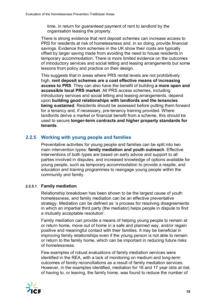time, in return for guaranteed payment of rent to landlord by the organisation leasing the property.

There is strong evidence that rent deposit schemes can increase access to PRS for residents at risk of homelessness and, in so doing, provide financial savings. Evidence from schemes in the UK show their costs are typically offset by larger saving made from avoiding the need to house residents in temporary accommodation. There is more limited evidence on the outcomes of introductory services and social letting and leasing arrangements but some lessons from policy and practice on their design.

This suggests that in areas where PRS rental levels are not prohibitively high, **rent deposit schemes are a cost effective means of increasing access to PRS**. They can also have the benefit of building **a more open and accessible local PRS market**. All PRS access schemes, including introductory services and social letting and leasing arrangements, depend upon **building good relationships with landlords and the tenancies being sustained**. Residents should be assessed before putting them forward for a tenancy and, if necessary, pre-tenancy training provided. Where landlords derive a market or financial benefit from a scheme, this should be used to secure **longer-term contracts and higher property standards for tenants**.

## **2.2.5 Working with young people and families**

Preventative activities for young people and families can be split into two main intervention types: **family mediation and youth outreach**. Effective interventions of both types are based on early advice and support to all parties involved in disputes, and increased knowledge of options available for young people, such as temporary accommodation to provide a respite, and education and training programmes to reengage young people within the community and family.

#### **2.2.5.1 Family mediation**

Relationship breakdown has been shown to be the largest cause of youth homelessness, and family mediation can be an effective preventative strategy. Mediation can be defined as 'a process for resolving disagreements in which an impartial third party (the mediator) helps people in dispute to find a mutually acceptable resolution'.

Family mediation can provide a means of helping young people to remain at or return home, move out of home in a safe and planned way, and/or regain positive and meaningful contact with their families. It may be beneficial in improving family relationships even if the young person is not able to remain or return to the family home, which can be important in reducing future risks of homelessness.

Few examples of robust evaluations of family mediation services were identified in the REA, with a lack of monitoring on medium and long-term outcomes of family reconciliations as a result of family mediation services. However, in the examples identified, mediation for 16 and 17 year olds at risk of having to, or leaving, the family home, was found to reduce the number of

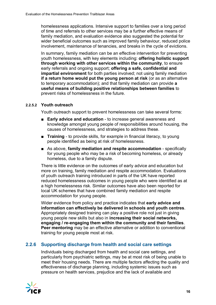homelessness applications. Intensive support to families over a long period of time and referrals to other services may be a further effective means of family mediation, and evaluation evidence also suggested the potential for wider beneficial outcomes such as improved family behaviour, reduced police involvement, maintenance of tenancies, and breaks in the cycle of evictions.

In summary, family mediation can be an effective intervention for preventing youth homelessness, with key elements including: **offering holistic support through working with other services within the community**, to ensure early referrals and ongoing support; **offering a safe, confidential and impartial environment** for both parties involved; not using family mediation **if a return home would put the young person at risk** (or as an alternative to temporary accommodation); and that family mediation can provide **a useful means of building positive relationships between families** to prevent risks of homelessness in the future.

#### **2.2.5.2 Youth outreach**

Youth outreach support to prevent homelessness can take several forms:

- **Early advice and education** to increase general awareness and knowledge amongst young people of responsibilities around housing, the causes of homelessness, and strategies to address these.
- **Training** to provide skills, for example in financial literacy, to young people identified as being at risk of homelessness.
- As above, **family mediation and respite accommodation** specifically for young people who may be a risk of becoming homeless, or already homeless, due to a family dispute.

There is little evidence on the outcomes of early advice and education but more on training, family mediation and respite accommodation. Evaluations of youth outreach training introduced in parts of the UK have reported reduced homelessness outcomes in young people who were identified as at a high homelessness risk. Similar outcomes have also been reported for local UK schemes that have combined family mediation and respite accommodation for young people.

Wider evidence from policy and practice indicates that **early advice and information can effectively be delivered in schools and youth centres**. Appropriately designed training can play a positive role not just in giving young people new skills but also in **increasing their social networks, engaging / re-engaging them within the community and their families**. **Peer mentoring** may be an effective alternative or addition to conventional training for young people most at risk.

## **2.2.6 Supporting discharge from health and social care settings**

Individuals being discharged from health and social care settings, and particularly from psychiatric settings, may be at most risk of being unable to meet their housing needs. There are multiple factors affecting the quality and effectiveness of discharge planning, including systemic issues such as pressure on health services, prejudice and the lack of available and

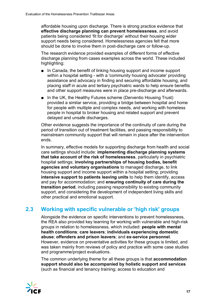affordable housing upon discharge. There is strong practice evidence that **effective discharge planning can prevent homelessness**, and avoid patients being considered 'fit for discharge' without their housing wider support needs being considered. Homelessness agencies felt that more should be done to involve them in post-discharge care or follow-up.

The research evidence provided examples of different forms of effective discharge planning from cases examples across the world. These included highlighting:

- In Canada, the benefit of linking housing support and income support within a hospital setting - with a 'community housing advocate' providing assistance and advocacy in finding and securing affordable housing, and placing staff in acute and tertiary psychiatric wards to help ensure benefits and other support measures were in place pre-discharge and afterwards.
- In the UK, the Healthy Futures scheme (Derventio Housing Trust) provided a similar service, providing a bridge between hospital and home for people with multiple and complex needs, and working with homeless people in hospital to broker housing and related support and prevent delayed and unsafe discharges.

Other evidence suggests the importance of the continuity of care during the period of transition out of treatment facilities, and passing responsibility to mainstream community support that will remain in place after the intervention ends.

In summary, effective models for supporting discharge from health and social care settings should include: **implementing discharge planning systems that take account of the risk of homelessness**, particularly in psychiatric hospital settings; **involving partnerships of housing bodies, benefit agencies and voluntary organisations** to managed discharge, to link housing support and income support within a hospital setting; providing **intensive support to patients leaving units** to help them identify, access and pay for accommodation; and **ensuring continuity of care during the transition period**, including passing responsibility to existing community support, and considering the development of independent living skills and other practical and emotional support.

## <span id="page-21-0"></span>**2.3 Working with specific vulnerable or 'high risk' groups**

Alongside the evidence on specific interventions to prevent homelessness, the REA also provided key learning for working with vulnerable and high-risk groups in relation to homelessness, which included: **people with mental health conditions**; **care leavers**; **individuals experiencing domestic abuse**; **offenders and prison leavers**; and **ex-service personnel**. However, evidence on preventative activities for these groups is limited, and was taken mainly from reviews of policy and practice with some case studies and programme/project evaluations.

The common underlying theme for all these groups is that **accommodation support should also be accompanied by holistic support and services** (such as financial and tenancy training; access to education and

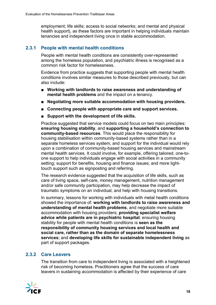employment; life skills; access to social networks; and mental and physical health support), as these factors are important in helping individuals maintain tenancies and independent living once in stable accommodation.

## **2.3.1 People with mental health conditions**

People with mental health conditions are consistently over-represented among the homeless population, and psychiatric illness is recognised as a common risk factor for homelessness.

Evidence from practice suggests that supporting people with mental health conditions involves similar measures to those described previously, but can also include:

- Working with landlords to raise awareness and understanding of **mental health problems** and the impact on a tenancy.
- **Negotiating more suitable accommodation with housing providers.**
- Connecting people with appropriate care and support services.
- **Support with the development of life skills.**

Practice suggested that service models could focus on two main principles: **ensuring housing stability**, and **supporting a household's connection to community-based resources**. This would place the responsibility for housing stabilisation within community-based systems rather than in a separate homeless services system, and support for the individual would rely upon a combination of community-based housing services and mainstream mental health services. It could involve, for example, offering tailored, one-toone support to help individuals engage with social activities in a community setting; support for benefits, housing and finance issues; and more lighttouch support such as signposting and referring.

The research evidence suggested that the acquisition of life skills, such as care of living space, self-care, money management, nutrition management and/or safe community participation, may help decrease the impact of traumatic symptoms on an individual, and help with housing transitions.

In summary, lessons for working with individuals with metal health conditions showed the importance of: **working with landlords to raise awareness and understanding of mental health problems**, and negotiate more suitable accommodation with housing providers; **providing specialist welfare advice while patients are in psychiatric hospital**; ensuring housing stability for people with mental health conditions is **seen as the responsibility of community housing services and local health and social care, rather than as the domain of separate homelessness services**; and **developing life skills for sustainable independent living** as part of support packages.

#### **2.3.2 Care Leavers**

The transition from care to independent living is associated with a heightened risk of becoming homeless. Practitioners agree that the success of care leavers in sustaining accommodation is affected by their experience of care

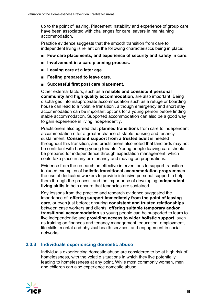up to the point of leaving. Placement instability and experience of group care have been associated with challenges for care leavers in maintaining accommodation.

Practice evidence suggests that the smooth transition from care to independent living is reliant on the following characteristics being in place:

- Few care placements, and experience of security and safety in care.
- **Involvement in a care planning process.**
- Leaving care at a later age.
- **Feeling prepared to leave care.**
- **Successful first post care placement.**

Other external factors, such as a **reliable and consistent personal community** and **high quality accommodation**, are also important. Being discharged into inappropriate accommodation such as a refuge or boarding house can lead to a 'volatile transition', although emergency and short stay accommodation can be important options for a young person before finding stable accommodation. Supported accommodation can also be a good way to gain experience in living independently.

Practitioners also agreed that **planned transitions** from care to independent accommodation offer a greater chance of stable housing and tenancy sustainment. **Consistent support from a trusted adult** is needed throughout this transition, and practitioners also noted that landlords may not be confident with having young tenants. Young people leaving care should be prepared for independence through expectation management, which could take place in any pre-tenancy and moving-on preparations.

Evidence from the research on effective interventions to support transition included examples of **holistic transitional accommodation programmes**, the use of dedicated workers to provide intensive personal support to help them through the process, and the importance of developing **independent living skills** to help ensure that tenancies are sustained.

Key lessons from the practice and research evidence suggested the importance of: **offering support immediately from the point of leaving care**, or even just before; ensuring **consistent and trusted relationships** between case workers and clients; **offering suitable temporary and/or transitional accommodation** so young people can be supported to learn to live independently; and **providing access to wider holistic support**, such as training on finances and tenancy management, education, employment, life skills, mental and physical health services, and engagement in social networks.

## **2.3.3 Individuals experiencing domestic abuse**

Individuals experiencing domestic abuse are considered to be at high risk of homelessness, with the volatile situations in which they live potentially leading to homelessness at any point. While most commonly women, men and children can also experience domestic abuse.

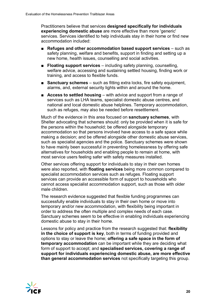Practitioners believe that services **designed specifically for individuals experiencing domestic abuse** are more effective than more 'generic' services. Services identified to help individuals stay in their home or find new accommodation included:

- **Refuges and other accommodation based support services** such as safety planning, welfare and benefits, support in finding and setting up a new home, health issues, counselling and social activities.
- **Floating support services** including safety planning, counselling, welfare advice, accessing and sustaining settled housing, finding work or training, and access to flexible funds.
- **Sanctuary schemes** such as fitting extra locks, fire safety equipment, alarms, and, external security lights within and around the home.
- **Access to settled housing** with advice and support from a range of services such as LHA teams, specialist domestic abuse centres, and national and local domestic abuse helplines. Temporary accommodation, such as refuges, may also be needed before resettlement.

Much of the evidence in this area focused on **sanctuary schemes**, with Shelter advocating that schemes should: only be provided when it is safe for the persons within the household; be offered alongside temporary accommodation so that persons involved have access to a safe space while making a decision; and be offered alongside other domestic abuse services, such as specialist agencies and the police. Sanctuary schemes were shown to have mainly been successful in preventing homelessness by offering safe alternatives for households and enabling people to remain at home, with most service users feeling safer with safety measures installed.

Other services offering support for individuals to stay in their own homes were also reported, with **floating services** being more common compared to specialist accommodation services such as refuges. Floating support services can provide an accessible form of support to households who cannot access specialist accommodation support, such as those with older male children.

The research evidence suggested that flexible funding programmes can successfully enable individuals to stay in their own home or move into temporary and/or new accommodation, with flexibility being important in order to address the often multiple and complex needs of each case. Sanctuary schemes seem to be effective in enabling individuals experiencing domestic abuse to stay in their home.

Lessons for policy and practice from the research suggested that: **flexibility in the choice of support is key**, both in terms of funding provided and options to stay or leave the home; **offering a safe space in the form of temporary accommodation** can be important while they are deciding what form of support to accept; and **specialised services, covering a range of support for individuals experiencing domestic abuse, are more effective than general accommodation services** not specifically targeting this group.

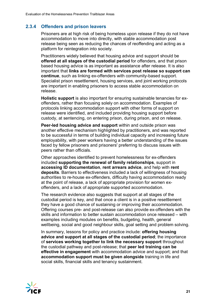## **2.3.4 Offenders and prison leavers**

Prisoners are at high risk of being homeless upon release if they do not have accommodation to move into directly, with stable accommodation post release being seen as reducing the chances of reoffending and acting as a platform for reintegration into society.

Practitioners widely believed that housing advice and support should be **offered at all stages of the custodial period** for offenders, and that prison based housing advice is as important as assistance after release. It is also important that **links are formed with services post release so support can continue**, such as linking ex-offenders with community-based support. Specialist prison resettlement, housing services, and joint working protocols are important in enabling prisoners to access stable accommodation on release.

**Holistic support** is also important for ensuring sustainable tenancies for exoffenders, rather than focusing solely on accommodation. Examples of protocols linking accommodation support with other forms of support on release were identified, and included providing housing support before custody, at sentencing, on entering prison, during prison, and on release.

**Peer-led housing advice and support** within and outside prison was another effective mechanism highlighted by practitioners, and was reported to be successful in terms of building individual capacity and increasing future employability, with peer workers having a better understanding of the issues faced by fellow prisoners and prisoners' preferring to discuss issues with peers rather than officials.

Other approaches identified to prevent homelessness for ex-offenders included **supporting the renewal of family relationships**, support in **accessing ID documentation**, **rent arrears advice**, and help with **rent deposits**. Barriers to effectiveness included a lack of willingness of housing authorities to re-house ex-offenders, difficulty having accommodation ready at the point of release, a lack of appropriate provision for women exoffenders, and a lack of appropriate supported accommodation.

The research evidence also suggests that support at all stages of the custodial period is key, and that once a client is in a positive resettlement they have a good chance of sustaining or improving their accommodation. Offering courses pre- and post-release can also provide ex-offenders with the skills and information to better sustain accommodation once released – with examples including modules on benefits, budgeting, health, general wellbeing, social and good neighbour skills, goal setting and problem solving.

In summary, lessons for policy and practice include: **offering housing advice and support at all stages of the custodial period**; the importance of **services working together to link the necessary support** throughout the custodial pathway and post-release; that **peer led training can be effective in engagement** with accommodation advice and support; and that **accommodation support must be given alongside** training in life and social skills, financial skills and tenancy sustainment.

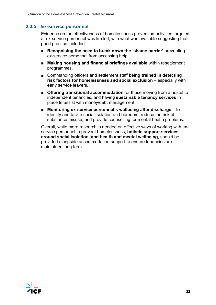## **2.3.5 Ex-service personnel**

Evidence on the effectiveness of homelessness prevention activities targeted at ex-service personnel was limited, with what was available suggesting that good practice included:

- **Recognising the need to break down the 'shame barrier'** preventing ex-service personnel from accessing help.
- **Making housing and financial briefings available** within resettlement programmes.
- Commanding officers and settlement staff **being trained in detecting risk factors for homelessness and social exclusion** – especially with early service leavers,
- **Offering transitional accommodation** for those moving from a hostel to independent tenancies, and having **sustainable tenancy services** in place to assist with money/debt management.
- **Monitoring ex-service personnel's wellbeing after discharge** to identify and tackle social isolation and boredom, reduce the risk of substance misuse, and provide counselling for mental health problems.

Overall, while more research is needed on effective ways of working with exservice personnel to prevent homelessness, **holistic support services around social isolation, and health and mental wellbeing**, should be provided alongside accommodation support to ensure tenancies are maintained long term.

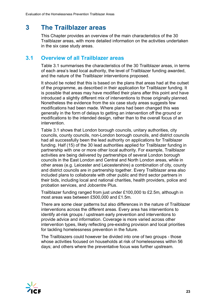## <span id="page-27-0"></span>**3 The Trailblazer areas**

This Chapter provides an overview of the main characteristics of the 30 Trailblazer areas, with more detailed information on the activities undertaken in the six case study areas.

## <span id="page-27-1"></span>**3.1 Overview of all Trailblazer areas**

Table 3.1 summarises the characteristics of the 30 Trailblazer areas, in terms of each area's lead local authority, the level of Trailblazer funding awarded, and the nature of the Trailblazer interventions proposed.

It should be noted that this is based on the plans that areas had at the outset of the programme, as described in their application for Trailblazer funding. It is possible that areas may have modified their plans after this point and have introduced a slightly different mix of interventions to those originally planned. Nonetheless the evidence from the six case study areas suggests few modifications had been made. Where plans had been changed this was generally in the form of delays to getting an intervention off the ground or modifications to the intended design, rather than to the overall focus of an intervention.

Table 3.1 shows that London borough councils, unitary authorities, city councils, county councils, non-London borough councils, and district councils had all successfully been the lead authority on applications for Trailblazer funding. Half (15) of the 30 lead authorities applied for Trailblazer funding in partnership with one or more other local authority. For example, Trailblazer activities are being delivered by partnerships of several London borough councils in the East London and Central and North London areas, while in other areas (e.g. Leicester and Leicestershire) a combination of city, county and district councils are in partnership together. Every Trailblazer area also included plans to collaborate with other public and third sector partners in their bids, including local and national charities, health providers, police and probation services, and Jobcentre Plus.

Trailblazer funding ranged from just under £100,000 to £2.5m, although in most areas was between £500,000 and £1.5m.

There are some clear patterns but also differences in the nature of Trailblazer interventions across the different areas. Every area has interventions to identify at-risk groups / upstream early prevention and interventions to provide advice and information. Coverage is more varied across other intervention types, likely reflecting pre-existing provision and local priorities for tackling homelessness prevention in the future.

The Trailblazers could however be divided into one of two groups - those whose activities focused on households at risk of homelessness within 56 days; and others where the preventative focus was further upstream.

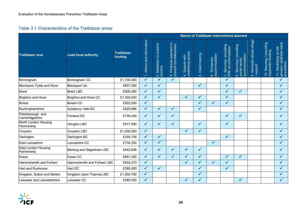#### Table 3.1 Characteristics of the Trailblazer areas

|                                           |                             |                               | Nature of Trailblazer interventions planned |                                     |                                                 |                                      |                        |                               |                                              |                                                                           |                                           |                                               |                                                                        |  |
|-------------------------------------------|-----------------------------|-------------------------------|---------------------------------------------|-------------------------------------|-------------------------------------------------|--------------------------------------|------------------------|-------------------------------|----------------------------------------------|---------------------------------------------------------------------------|-------------------------------------------|-----------------------------------------------|------------------------------------------------------------------------|--|
| <b>Trailblazer area</b>                   | <b>Lead local authority</b> | <b>Trailblazer</b><br>funding | 1. Advice and information                   | 2. Mediation to prevent<br>eviction | 3. Financial payment to<br>prevent homelessness | 4. Support with<br>underlying issues | Client training<br>ιó. | 6. Temporary<br>accommodation | 7. Securing / providing<br>PRS accommodation | Securing / providing<br>accommodation<br>8. Securing /  <br>social rented | refuge<br>abuse<br>9. Domestic<br>support | 10. Securing / providing<br>supported housing | upstream early<br>11. Identifying at-risk<br>groups / up<br>prevention |  |
| Birmingham                                | Birmingham CC               | £1,700,000                    | $\checkmark$                                | $\checkmark$                        | $\checkmark$                                    |                                      |                        |                               | ✓                                            |                                                                           |                                           |                                               | ✓                                                                      |  |
| Blackpool, Fylde and Wyre                 | <b>Blackpool UA</b>         | £607,000                      | $\checkmark$                                | $\checkmark$                        |                                                 |                                      | $\checkmark$           |                               | $\checkmark$                                 |                                                                           |                                           |                                               | $\checkmark$                                                           |  |
| <b>Brent</b>                              | <b>Brent LBC</b>            | £900,000                      | $\checkmark$                                | $\checkmark$                        |                                                 |                                      |                        |                               | $\checkmark$                                 | $\checkmark$                                                              |                                           |                                               | $\checkmark$                                                           |  |
| <b>Brighton and Hove</b>                  | Brighton and Hove CC        | £1,300,000                    | $\checkmark$                                | $\checkmark$                        |                                                 | ✓                                    | $\checkmark$           |                               | ✓                                            |                                                                           |                                           |                                               | $\checkmark$                                                           |  |
| <b>Bristol</b>                            | <b>Bristol CC</b>           | £925,000                      | $\sqrt{}$                                   |                                     |                                                 |                                      | $\checkmark$           | $\checkmark$                  | $\checkmark$                                 |                                                                           |                                           |                                               | $\sqrt{}$                                                              |  |
| Buckinghamshire                           | Aylesbury Vale DC           | £625,996                      | $\checkmark$                                | $\checkmark$                        | $\checkmark$                                    |                                      | $\checkmark$           |                               |                                              |                                                                           |                                           |                                               | $\sqrt{}$                                                              |  |
| Peterborough and<br>Cambridgeshire        | Fenland DC                  | £736,400                      | $\checkmark$                                | ✓                                   | ✓                                               |                                      |                        |                               | ✓                                            | ✓                                                                         |                                           |                                               | ✓                                                                      |  |
| North London Housing<br>Partnership       | <b>Islington LBC</b>        | £917,500                      | $\checkmark$                                | $\checkmark$                        | ✓                                               |                                      | ✓                      |                               | ✓                                            |                                                                           |                                           |                                               | $\checkmark$                                                           |  |
| Croydon                                   | Croydon LBC                 | £1,000,000                    | $\checkmark$                                |                                     |                                                 | $\checkmark$                         | $\checkmark$           |                               |                                              |                                                                           |                                           |                                               | $\checkmark$                                                           |  |
| Darlington                                | Darlington BC               | £255,705                      | $\checkmark$                                | $\checkmark$                        |                                                 |                                      |                        |                               | ✓                                            |                                                                           |                                           |                                               | $\checkmark$                                                           |  |
| East Lancashire                           | Lancashire CC               | £734,250                      | $\checkmark$                                | $\checkmark$                        |                                                 |                                      |                        | $\checkmark$                  |                                              |                                                                           |                                           |                                               | $\checkmark$                                                           |  |
| <b>East London Housing</b><br>Partnership | Barking and Dagenham LBC    | £442,846                      | $\checkmark$                                | $\sqrt{}$                           | ✓                                               | ✓                                    | ✓                      |                               |                                              |                                                                           |                                           |                                               | ✓                                                                      |  |
| Essex                                     | <b>Essex CC</b>             | £891,300                      | $\checkmark$                                | $\checkmark$                        | $\checkmark$                                    | ✓                                    | $\checkmark$           |                               | ✓                                            | $\checkmark$                                                              |                                           |                                               | $\checkmark$                                                           |  |
| Hammersmith and Fulham                    | Hammersmith and Fulham LBC  | £603,373                      | $\checkmark$                                |                                     |                                                 | ✓                                    | $\checkmark$           | $\checkmark$                  | ✓                                            |                                                                           |                                           |                                               | ✓                                                                      |  |
| <b>Hart and Rushmoor</b>                  | Hart DC                     | £385,000                      | $\checkmark$                                | $\checkmark$                        |                                                 |                                      | $\checkmark$           |                               | ✓                                            |                                                                           |                                           |                                               | ✓                                                                      |  |
| Kingston, Sutton and Merton               | Kingston Upon Thames LBC    | £1,004,790                    | $\checkmark$                                |                                     |                                                 |                                      | $\checkmark$           |                               |                                              |                                                                           |                                           |                                               | ✓                                                                      |  |
| Leicester and Leicestershire              | Leicester CC                | £285,000                      | $\checkmark$                                |                                     |                                                 | $\checkmark$                         | $\checkmark$           |                               |                                              | $\checkmark$                                                              |                                           |                                               | $\checkmark$                                                           |  |

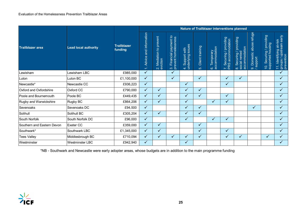|                            |                             |                               | Nature of Trailblazer interventions planned                  |                              |                                                 |                                      |                        |                               |                                              |                                                                |                                          |                                                                   |                                                                                   |  |
|----------------------------|-----------------------------|-------------------------------|--------------------------------------------------------------|------------------------------|-------------------------------------------------|--------------------------------------|------------------------|-------------------------------|----------------------------------------------|----------------------------------------------------------------|------------------------------------------|-------------------------------------------------------------------|-----------------------------------------------------------------------------------|--|
| <b>Trailblazer area</b>    | <b>Lead local authority</b> | <b>Trailblazer</b><br>funding | Advice and information<br>$\sim$<br>$\overline{\phantom{0}}$ | prevent<br>2. Mediation to p | 3. Financial payment to<br>prevent homelessness | 4. Support with<br>underlying issues | Client training<br>ιó. | 6. Temporary<br>accommodation | 7. Securing / providing<br>PRS accommodation | providing<br>accommodation<br>8. Securing / I<br>social rented | refuge<br>9. Domestic abuse<br>/ support | providing<br>housing<br>Securing /<br>supported<br>$\overline{O}$ | groups / upstream early<br>prevention<br>Identifying at-risk<br>$\overline{\tau}$ |  |
| Lewisham                   | Lewisham LBC                | £985,000                      | $\checkmark$                                                 |                              | $\checkmark$                                    |                                      |                        |                               |                                              |                                                                |                                          |                                                                   | $\sqrt{ }$                                                                        |  |
| Luton                      | Luton BC                    | £1,100,000                    | $\checkmark$                                                 |                              | ✓                                               |                                      | $\checkmark$           |                               | ✓                                            | $\checkmark$                                                   |                                          |                                                                   | $\checkmark$                                                                      |  |
| Newcastle*                 | Newcastle CC                | £936,223                      | $\checkmark$                                                 |                              |                                                 | ✓                                    |                        |                               | ✓                                            |                                                                |                                          |                                                                   | $\sqrt{}$                                                                         |  |
| Oxford and Oxfordshire     | Oxford CC                   | £790,000                      | $\checkmark$                                                 | $\checkmark$                 |                                                 | ✓                                    | $\checkmark$           |                               |                                              |                                                                |                                          |                                                                   | $\checkmark$                                                                      |  |
| Poole and Bournemouth      | Poole BC                    | £449,435                      | $\checkmark$                                                 | $\checkmark$                 |                                                 | $\checkmark$                         | $\checkmark$           |                               | $\checkmark$                                 |                                                                |                                          |                                                                   | $\checkmark$                                                                      |  |
| Rugby and Warwickshire     | Rugby BC                    | £864,206                      | $\checkmark$                                                 | ✓                            |                                                 | ✓                                    |                        | $\checkmark$                  | ✓                                            |                                                                |                                          |                                                                   | $\checkmark$                                                                      |  |
| Sevenoaks                  | Sevenoaks DC                | £94,500                       | $\checkmark$                                                 |                              |                                                 | ✓                                    | $\checkmark$           |                               |                                              |                                                                | $\checkmark$                             |                                                                   | $\sqrt{ }$                                                                        |  |
| Solihull                   | Solihull BC                 | £305,204                      | $\checkmark$                                                 | $\checkmark$                 |                                                 | $\checkmark$                         | $\checkmark$           |                               |                                              |                                                                |                                          |                                                                   | $\checkmark$                                                                      |  |
| South Norfolk              | South Norfolk DC            | £96,000                       | $\checkmark$                                                 |                              |                                                 | ✓                                    |                        | ✓                             | ✓                                            |                                                                |                                          |                                                                   | $\checkmark$                                                                      |  |
| Southern and Eastern Devon | Exeter CC                   | £359,000                      | $\checkmark$                                                 | ✓                            |                                                 |                                      | ✓                      |                               |                                              |                                                                |                                          |                                                                   | $\checkmark$                                                                      |  |
| Southwark*                 | Southwark LBC               | £1,345,000                    | $\checkmark$                                                 | $\checkmark$                 |                                                 |                                      | $\checkmark$           |                               | $\checkmark$                                 |                                                                |                                          |                                                                   | $\checkmark$                                                                      |  |
| <b>Tees Valley</b>         | Middlesbrough BC            | £710,094                      | $\checkmark$                                                 | $\checkmark$                 | $\sqrt{}$                                       | $\checkmark$                         | $\checkmark$           |                               | $\sqrt{}$                                    | $\checkmark$                                                   |                                          | $\checkmark$                                                      |                                                                                   |  |
| Westminster                | <b>Westminster LBC</b>      | £942,940                      | $\checkmark$                                                 |                              |                                                 | $\checkmark$                         |                        |                               |                                              |                                                                |                                          |                                                                   |                                                                                   |  |

\*NB - Southwark and Newcastle were early adopter areas, whose budgets are in addition to the main programme funding

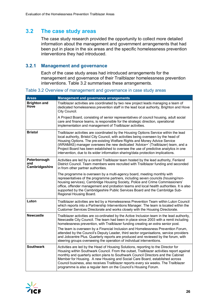## <span id="page-30-0"></span>**3.2 The case study areas**

The case study research provided the opportunity to collect more detailed information about the management and government arrangements that had been put in place in the six areas and the specific homelessness prevention interventions they had introduced.

#### **3.2.1 Management and governance**

Each of the case study areas had introduced arrangements for the management and governance of their Trailblazer homelessness prevention interventions. Table 3.2 summarises these arrangements.

Table 3.2 Overview of management and governance in case study areas

| <b>Areas</b>                          | <b>Management and governance arrangements</b>                                                                                                                                                                                                                                                                                                                                                                                                                                                                                                                                                                        |
|---------------------------------------|----------------------------------------------------------------------------------------------------------------------------------------------------------------------------------------------------------------------------------------------------------------------------------------------------------------------------------------------------------------------------------------------------------------------------------------------------------------------------------------------------------------------------------------------------------------------------------------------------------------------|
| <b>Brighton and</b><br>Hove           | Trailblazer activities are coordinated by two new project leads managing a team of<br>dedicated homelessness prevention staff in the lead local authority, Brighton and Hove<br>City Council.                                                                                                                                                                                                                                                                                                                                                                                                                        |
|                                       | A Project Board, consisting of senior representatives of council housing, adult social<br>care and finance teams, is responsible for the strategic direction, operational<br>implementation and management of Trailblazer activities.                                                                                                                                                                                                                                                                                                                                                                                |
| <b>Bristol</b>                        | Trailblazer activities are coordinated by the Housing Options Service within the lead<br>local authority, Bristol City Council, with activities being overseen by the head of<br>Housing Options. The pre-existing Welfare Rights and Money Advice Service<br>(WRAMAS) manager oversees the new dedicated 'Advice+' (Trailblazer) team, and a<br>Project Board has been established to oversee the use of predictive analytics in one<br>intervention, due to its wider information sharing/data protection implications.                                                                                            |
| Peterborough<br>and<br>Cambridgeshire | Activities are led by a central Trailblazer team hosted by the lead authority, Fenland<br>District Council. Team members were recruited with Trailblazer funding and seconded<br>in from other partner authorities.                                                                                                                                                                                                                                                                                                                                                                                                  |
|                                       | The programme is overseen by a multi-agency board, meeting monthly with<br>representatives of the programme partners, including seven councils (housing/non-<br>housing services), Cambridge Housing Society, Police and Crime Commissioners'<br>office, offender management and probation teams and local health authorities. It is also<br>supported by the Cambridgeshire Public Services Board and the Cambridge Sub-<br>Regional Housing Board.                                                                                                                                                                 |
| Luton                                 | Trailblazer activities are led by a Homelessness Prevention Team within Luton Council<br>which reports into a Partnership Interventions Manager. The team is located within the<br>Customer Services Directorate and works closely with the Housing Directorate.                                                                                                                                                                                                                                                                                                                                                     |
| <b>Newcastle</b>                      | Trailblazer activities are co-ordinated by the Active Inclusion team in the lead authority,<br>Newcastle City Council. The team had been in place since 2003 with a remit including<br>homelessness prevention, with Trailblazer funding creating an extra senior post.<br>The team is overseen by a Financial Inclusion and Homelessness Prevention Forum,<br>attended by the Council's Deputy Leader, third sector organisations, service providers<br>and Jobcentre Plus. Quarterly reports are produced and reviewed by the forum, with<br>steering groups overseeing the operation of individual interventions. |
| <b>Southwark</b>                      | Activities are led by the Head of Housing Solutions, reporting to the Director for<br>Housing within Southwark Council. From the outset, Trailblazer activities report against<br>monthly and quarterly action plans to Southwark Council Directors and the Cabinet<br>Member for Housing. A new Housing and Social Care Board, established across<br>Council business, also receives Trailblazer reports every six weeks. The Trailblazer<br>programme is also a regular item on the Council's Housing Forum.                                                                                                       |

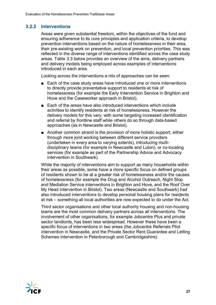## **3.2.2 Interventions**

Areas were given substantial freedom, within the objectives of the fund and ensuring adherence to its core principles and application criteria, to develop prevention interventions based on the nature of homelessness in their area, their pre-existing work on prevention, and local prevention priorities. This was reflected in the diverse range of interventions identified across the case study areas. Table 3.3 below provides an overview of the aims, delivery partners and delivery models being employed across examples of interventions introduced in each area.

Looking across the interventions a mix of approaches can be seen:

- Each of the case study areas have introduced one or more interventions to directly provide preventative support to residents at risk of homelessness (for example the Early Intervention Service in Brighton and Hove and the Caseworker approach in Bristol).
- Each of the areas have also introduced interventions which include activities to identify residents at risk of homelessness. However the delivery models for this vary, with some targeting increased identification and referral by frontline staff while others do so through data-based approaches (as in Newcastle and Bristol).
- Another common strand is the provision of more holistic support, either through more joint working between different service providers (undertaken in every area to varying extents), introducing multidisciplinary teams (for example in Newcastle and Luton), or co-locating services (for example as part of the Partnership Advice and Advocacy intervention in Southwark).

While the majority of interventions aim to support as many households within their areas as possible, some have a more specific focus on defined groups of residents shown to be at a greater risk of homelessness and/or the causes of homelessness (for example the Drug and Alcohol Outreach, Night Stop and Mediation Service interventions in Brighton and Hove, and the Roof Over My Head intervention in Bristol). Two areas (Newcastle and Southwark) had also introduced interventions to develop personal housing plans for residents at risk – something all local authorities are now expected to do under the Act.

Third sector organisations and other local authority housing and non-housing teams are the most common delivery partners across all interventions. The involvement of other organisations, for example Jobcentre Plus and private sector landlords, has been less widespread. However these have been a specific focus of interventions in two areas (the Jobcentre Referrals Pilot intervention in Newcastle, and the Private Sector Rent Guarantee and Letting Schemes intervention in Peterborough and Cambridgeshire).

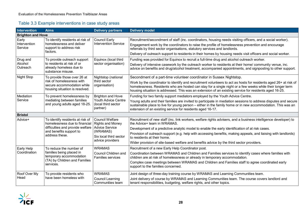## Table 3.3 Example interventions in case study areas

| Intervention             | <b>Aims</b>                                                                                                                                        | <b>Delivery partners</b>                               | <b>Delivery model</b>                                                                                                                                                                                                                                                                                                                   |
|--------------------------|----------------------------------------------------------------------------------------------------------------------------------------------------|--------------------------------------------------------|-----------------------------------------------------------------------------------------------------------------------------------------------------------------------------------------------------------------------------------------------------------------------------------------------------------------------------------------|
| <b>Brighton and Hove</b> |                                                                                                                                                    |                                                        |                                                                                                                                                                                                                                                                                                                                         |
| Early                    | To identify residents at risk of                                                                                                                   | <b>Council Early</b>                                   | Recruitment/secondment of staff (inc. coordinators, housing needs visiting officers, and a social worker).                                                                                                                                                                                                                              |
| Intervention<br>Service  | homelessness and deliver<br>support to address risk                                                                                                | <b>Intervention Service</b>                            | Engagement work by the coordinators to raise the profile of homelessness prevention and encourage<br>referrals by third sector organisations, statutory services and landlords.                                                                                                                                                         |
|                          | factors.                                                                                                                                           |                                                        | Delivery of outreach support to residents in their homes by housing needs visit officers and social worker.                                                                                                                                                                                                                             |
| Drug and                 | To provide outreach support                                                                                                                        | Equinox (local third                                   | Funding was provided for Equinox to recruit a full-time drug and alcohol outreach worker.                                                                                                                                                                                                                                               |
| Alcohol<br>Outreach      | to residents at risk of or<br>sector organisation)<br>already homeless due to<br>substance misuse.                                                 |                                                        | Delivery of intensive casework by the outreach worker to residents at their home/ community venue, inc.<br>advice on benefits and drug/alcohol treatment, accompanied appointments, and signposting to other support.                                                                                                                   |
| <b>Night Stop</b>        | To provide those over 26 at                                                                                                                        | Nightstop (national                                    | Secondment of a part-time volunteer coordinator in Sussex Nightstop.                                                                                                                                                                                                                                                                    |
|                          | risk of homelessness with<br>secure accommodation while<br>housing situation is resolved.                                                          | third sector<br>organisation)                          | Work by the coordinator to identify and recruitment volunteers to act as hosts for residents aged 26+ at risk of<br>homelessness. Residents who are hosted can stay for a single night or a few weeks while their longer term<br>housing situation is addressed. This was an extension of an existing service for residents aged 16-25. |
| Mediation                | To prevent homelessness by                                                                                                                         | <b>Brighton and Hove</b>                               | Funding for two family support mediators employed by the Youth Advice Centre.                                                                                                                                                                                                                                                           |
| Service                  | mediating between families<br>and young adults aged 18-25.                                                                                         | Youth Advice Centre<br>(local third sector<br>partner) | Young adults and their families are invited to participate in mediation sessions to address disputes and secure<br>sustainable place to live for young person - either in the family home or in new accommodation. This was an<br>extension of an existing service for residents aged 16-17.                                            |
| <b>Bristol</b>           |                                                                                                                                                    |                                                        |                                                                                                                                                                                                                                                                                                                                         |
| Advice+                  | To identify residents at risk of<br>homelessness due to financial<br>difficulties and provide welfare<br>and benefits support to<br>address these. | <b>Council Welfare</b><br><b>Rights and Money</b>      | Recruitment of new staff (inc. link workers, welfare rights advisers, and a business intelligence developer) to<br>the Advice+ team in WRAMAS.                                                                                                                                                                                          |
|                          |                                                                                                                                                    | <b>Advice Service</b>                                  | Development of a predictive analytic model to enable the early identification of at risk cases.                                                                                                                                                                                                                                         |
|                          |                                                                                                                                                    | (WRAMAS)<br>Six local third sector<br>advice providers | Provision of outreach support (e.g. help with accessing benefits, making appeals, and liaising with landlords)<br>to residents at their home.                                                                                                                                                                                           |
|                          |                                                                                                                                                    |                                                        | Wider provision of site-based welfare and benefits advice by the third sector providers.                                                                                                                                                                                                                                                |
| Early Help               | To reduce the number of                                                                                                                            | <b>WRAMAS</b>                                          | Recruitment of a new Early Help Coordinator post.                                                                                                                                                                                                                                                                                       |
| Coordination             | families being placed in<br>temporary accommodation                                                                                                | Council Children and<br><b>Families services</b>       | Coordination between WRAMAS and Children and Families services to identify cases where families with<br>children are at risk of homelessness or already in temporary accommodation.                                                                                                                                                     |
|                          | (TA) by Children and Families<br>services.                                                                                                         |                                                        | Complex case meetings between WRAMAS and Children and Families staff to agree coordinated early<br>support to the families concerned.                                                                                                                                                                                                   |
| Roof Over My             | To provide residents who                                                                                                                           | <b>WRAMAS</b>                                          | Joint design of three-day training course by WRAMAS and Learning Communities team.                                                                                                                                                                                                                                                      |
| Head                     | have been homeless with                                                                                                                            | <b>Council Learning</b><br>Communities team            | Joint delivery of course by WRAMAS and Learning Communities team. The course covers landlord and<br>tenant responsibilities, budgeting, welfare rights, and other topics.                                                                                                                                                               |

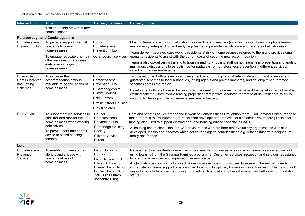| Intervention                                                             | <b>Aims</b>                                                                                                                                                                        | <b>Delivery partners</b>                                                                                                                                               | <b>Delivery model</b>                                                                                                                                                                                                                                                                                                                                                                                                                                                                                                                                                                                                                                                                     |
|--------------------------------------------------------------------------|------------------------------------------------------------------------------------------------------------------------------------------------------------------------------------|------------------------------------------------------------------------------------------------------------------------------------------------------------------------|-------------------------------------------------------------------------------------------------------------------------------------------------------------------------------------------------------------------------------------------------------------------------------------------------------------------------------------------------------------------------------------------------------------------------------------------------------------------------------------------------------------------------------------------------------------------------------------------------------------------------------------------------------------------------------------------|
|                                                                          | training to help prevent future<br>homelessness.                                                                                                                                   |                                                                                                                                                                        |                                                                                                                                                                                                                                                                                                                                                                                                                                                                                                                                                                                                                                                                                           |
|                                                                          | <b>Peterborough and Cambridgeshire</b>                                                                                                                                             |                                                                                                                                                                        |                                                                                                                                                                                                                                                                                                                                                                                                                                                                                                                                                                                                                                                                                           |
| Homelessness<br><b>Prevention Hub</b>                                    | To provide support to at risk<br>residents to prevent<br>homelessness.<br>To engage, educate and train<br>other services to recognise<br>early warning signs of<br>homelessness.   | Council<br><b>Homelessness</b><br><b>Prevention Hub</b><br>Other council services                                                                                      | Floating team who work on co-location rotas in different services (including council housing options teams,<br>multi-agency safeguarding and early help teams) to promote identification and referrals of at risk cases.<br>Team deliver integrated case work to residents at risk of homelessness referred to them and provides small<br>grants to residents to assist with the upfront costs of securing new accommodation.<br>Team is also co-delivering training to housing and non-housing staff on homelessness prevention and leading<br>multiagency discussions to establish better pathways for homelessness prevention in different services,<br>including offender management. |
| <b>Private Sector</b><br><b>Rent Guarantee</b><br>and Letting<br>Schemes | To increase the<br>accommodation options<br>available to people at risk of<br>homelessness.                                                                                        | Council<br>Homelessness<br><b>Prevention Hub</b><br>S Cambridgeshire<br>District Council<br><b>Shire Homes</b><br><b>Ermine Street Housing</b><br><b>PRS</b> landlords | Two development officers recruited using Trailblazer funding to build relationships with, and promote rent<br>guarantee schemes to local authorities, letting agents and private landlords, and develop rent guarantee<br>schemes across the region.<br>Development officers have so far supported the creation of one new scheme and the development of another<br>existing scheme. Both involve leasing properties from private landlords for rent to at risk residents. Work is<br>ongoing to develop similar schemes elsewhere in the region.                                                                                                                                         |
| Debt Advice                                                              | To support advice services to<br>consider and monitor risk of<br>homelessness when offering<br>debt advice.<br>To provide debt and benefit<br>advice to social housing<br>tenants. | Council<br><b>Homelessness</b><br><b>Prevention Hub</b><br><b>Cambridge Housing</b><br>Society<br><b>Citizens Advice</b><br><b>Bureau</b>                              | Debt and benefits advice embedded in work of Homelessness Prevention team - CAB advisers encouraged to<br>make referrals to Trailblazer team rather than developing more CAB housing advice volunteers (Trailblazer<br>funding also used to support existing debt and housing advice capacity in CABs).<br>A 'housing health check' tool for CAB advisers and workers from other voluntary organisations was also<br>developed. It asks about factors which act as red flags to homelessness e.g. relationships with neighbours,<br>family and friends.                                                                                                                                   |
| Luton                                                                    |                                                                                                                                                                                    |                                                                                                                                                                        |                                                                                                                                                                                                                                                                                                                                                                                                                                                                                                                                                                                                                                                                                           |
| Homelessness<br>Prevention<br>Service                                    | To enable frontline staff to<br>identify and engage with<br>residents at risk of<br>homelessness.                                                                                  | Luton Borough<br>Council<br>Luton Access (incl:<br>Citizen Advice<br>Bureau, Luton Airport<br>Limited, Luton CCG,<br>You Turn Futures,<br>Jobcentre Plus)              | Redesigned how residents connect with the council's frontline services on a homelessness prevention pilot<br>using learning from the Stronger Families programme. Customer Services' reception and services redesigned<br>to offer triage services and improved interview space.<br>At Quick Advice (first point of contact) a customer diagnostic tool is used to assess if the resident needs<br>immediate homeless support or is assigned to a multidisciplinary homeless prevention team. Diagnostic tool<br>seeks to get a holistic view, e.g. covering medical, financial and other information as well as accommodation<br>status.                                                 |

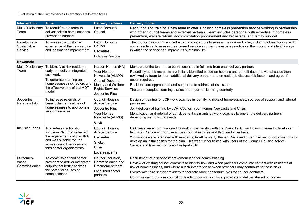| <b>Intervention</b>                    | <b>Aims</b>                                                                                                                                                                       | <b>Delivery partners</b>                                                                                                                        | <b>Delivery model</b>                                                                                                                                                                                                                                                                                                                                                                                                                                                                     |
|----------------------------------------|-----------------------------------------------------------------------------------------------------------------------------------------------------------------------------------|-------------------------------------------------------------------------------------------------------------------------------------------------|-------------------------------------------------------------------------------------------------------------------------------------------------------------------------------------------------------------------------------------------------------------------------------------------------------------------------------------------------------------------------------------------------------------------------------------------------------------------------------------------|
| Multi-Disciplinary<br>Team             | To recruit/train a team to<br>deliver holistic homelessness<br>prevention support.                                                                                                | Luton Borough<br>Council                                                                                                                        | Recruiting and training a new team to offer a holistic homeless prevention service working in partnership<br>with other Council teams and external partners. Team includes personnel with expertise in homeless<br>prevention, welfare reform, accommodation procurement and brokerage, and family support.                                                                                                                                                                               |
| Developing a<br>Sustainable<br>Service | To assess the customer<br>experience of the new service<br>and lessons for improvement.                                                                                           | Luton Borough<br>Council<br><b>Uscreates</b><br>Policy in Practice                                                                              | The council has commissioned external contractors to assess their current offer, including close working with<br>some residents, to assess their current service in order to evaluate practice on the ground and identify ways<br>in which the service can improve its sustainability.                                                                                                                                                                                                    |
| <b>Newcastle</b>                       |                                                                                                                                                                                   |                                                                                                                                                 |                                                                                                                                                                                                                                                                                                                                                                                                                                                                                           |
| Multi-Disciplinary<br>Team             | To identify at risk residents<br>early and deliver integrated<br>casework.<br>To generate learning on<br>homelessness risk factors and<br>the effectiveness of the MDT<br>model.  | Karbon Homes (HA)<br><b>Your Homes</b><br>Newcastle (ALMO)<br>Council Debt and<br>Money and Welfare<br><b>Rights Services</b><br>Jobcentre Plus | Members of the team have been seconded in full-time from each delivery partner.<br>Potentially at risk residents are initially identified based on housing and benefit data. Individual cases then<br>reviewed by team to share additional delivery partner data on resident, discuss risk factors, and agree if<br>action required.<br>Residents are approached and supported to address at risk issues.<br>The team complete learning diaries and report on learning quarterly.         |
| Jobcentre<br><b>Referrals Pilot</b>    | To increase referrals of<br>benefit claimants at risk of<br>homelessness to appropriate<br>support services.                                                                      | <b>Council Housing</b><br><b>Advice Service</b><br>Jobcentre Plus<br>Your Homes<br>Newcastle (ALMO)<br>Crisis                                   | Design of training for JCP work coaches in identifying risks of homelessness, sources of support, and referral<br>processes.<br>Joint delivery of training by JCP, Council, Your Homes Newcastle and Crisis.<br>Identification and referral of at risk benefit claimants by work coaches to one of the delivery partners<br>depending on individual needs.                                                                                                                                |
| <b>Inclusion Plans</b>                 | To co-design a holistic<br>Inclusion Plan that reflected<br>the requirements of the HRA<br>and was suitable for use<br>across council services and<br>third sector organisations. | <b>Council Housing</b><br><b>Advice Service</b><br>Uscreates<br>Shelter<br><b>Crisis</b><br>Local residents                                     | Us Create were commissioned to work in partnership with the Council's Active Inclusion team to develop an<br>Inclusion Plan design for use across council services and third sector partners.<br>Workshops were facilitated with residents, frontline staff, Shelter, Crisis and other third sector organisations to<br>develop an initial design for the plan. This was further tested with users of the Council Housing Advice<br>Service and finalised for roll-out in April 2018.     |
| Outcomes-<br>based<br>Commissioning    | To commission third sector<br>providers to deliver integrated<br>outputs that better address<br>the potential causes of<br>homelessness.                                          | Council Inclusion,<br>Commissioning and<br>Procurement team<br>Local third sector<br>partners                                                   | Recruitment of a service improvement lead for commissioning.<br>Review of existing council contracts to identify how and when providers come into contact with residents at<br>risk of homelessness, and where a lack integration between providers may contribute to these risks.<br>Events with third sector providers to facilitate more consortium bids for council contracts.<br>Commissioning of more council contracts to consortia of local providers to deliver shared outcomes. |

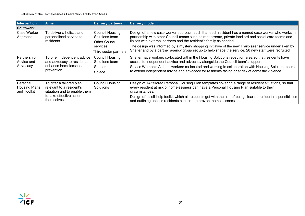#### Evaluation of the Homelessness Prevention Trailblazer Areas

| Intervention                                    | <b>Aims</b>                                                                          | <b>Delivery partners</b>                                              | <b>Delivery model</b>                                                                                                                                                                                                                                                                                                                                                                      |
|-------------------------------------------------|--------------------------------------------------------------------------------------|-----------------------------------------------------------------------|--------------------------------------------------------------------------------------------------------------------------------------------------------------------------------------------------------------------------------------------------------------------------------------------------------------------------------------------------------------------------------------------|
| <b>Southwark</b>                                |                                                                                      |                                                                       |                                                                                                                                                                                                                                                                                                                                                                                            |
| <b>Case Worker</b><br>Approach                  | To deliver a holistic and<br>personalised service to<br>residents.                   | <b>Council Housing</b><br>Solutions team<br>Other Council<br>services | Design of a new case worker approach such that each resident has a named case worker who works in<br>partnership with other Council teams such as rent arrears, private landlord and social care teams and<br>liaises with external partners and the resident's family as needed.<br>The design was informed by a mystery shopping initiative of the new Trailblazer service undertaken by |
|                                                 |                                                                                      | Third sector partners                                                 | Shelter and by a partner agency group set up to help shape the service. 28 new staff were recruited.                                                                                                                                                                                                                                                                                       |
| Partnership<br>Advice and                       | To offer independent advice<br>and advocacy to residents to                          | Council Housing<br>Solutions team                                     | Shelter have workers co-located within the Housing Solutions reception area so that residents have<br>access to independent advice and advocacy alongside the Council team's support.                                                                                                                                                                                                      |
| Advocacy                                        | enhance homelessness<br>prevention.                                                  | <b>Shelter</b><br>Solace                                              | Solace Women's Aid has workers co-located and working in collaboration with Housing Solutions teams<br>to extend independent advice and advocacy for residents facing or at risk of domestic violence.                                                                                                                                                                                     |
| Personal<br><b>Housing Plans</b><br>and Toolkit | To offer a tailored plan<br>relevant to a resident's<br>situation and to enable them | <b>Council Housing</b><br><b>Solutions</b>                            | Design of 14 tailored Personal Housing Plan templates covering a range of resident situations, so that<br>every resident at risk of homelessness can have a Personal Housing Plan suitable to their<br>circumstances.                                                                                                                                                                      |
|                                                 | to take effective action<br>themselves.                                              |                                                                       | Design of a self-help toolkit which all residents get with the aim of being clear on resident responsibilities<br>and outlining actions residents can take to prevent homelessness.                                                                                                                                                                                                        |

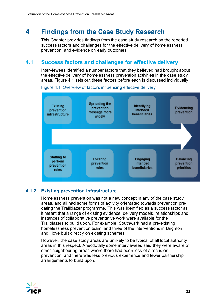## <span id="page-36-0"></span>**4 Findings from the Case Study Research**

This Chapter provides findings from the case study research on the reported success factors and challenges for the effective delivery of homelessness prevention, and evidence on early outcomes.

## <span id="page-36-1"></span>**4.1 Success factors and challenges for effective delivery**

Interviewees identified a number factors that they believed had brought about the effective delivery of homelessness prevention activities in the case study areas. Figure 4.1 sets out these factors before each is discussed individually.



Figure 4.1 Overview of factors influencing effective delivery

## **4.1.2 Existing prevention infrastructure**

Homelessness prevention was not a new concept in any of the case study areas, and all had some forms of activity orientated towards prevention predating the Trailblazer programme. This was identified as a success factor as it meant that a range of existing evidence, delivery models, relationships and instances of collaborative preventative work were available for the Trailblazers to build upon. For example, Southwark had a pre-existing homelessness prevention team, and three of the interventions in Brighton and Hove built directly on existing schemes.

However, the case study areas are unlikely to be typical of all local authority areas in this respect. Anecdotally some interviewees said they were aware of other neighbouring areas where there had been less of a focus on prevention, and there was less previous experience and fewer partnership arrangements to build upon.

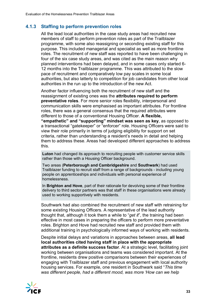## **4.1.3 Staffing to perform prevention roles**

All the lead local authorities in the case study areas had recruited new members of staff to perform prevention roles as part of the Trailblazer programme, with some also reassigning or seconding existing staff for this purpose. This included managerial and specialist as well as more frontline roles. The recruitment of new staff was reported to have been challenging in four of the six case study areas, and was cited as the main reason why planned interventions had been delayed, and in some cases only started 6- 12 months into the Trailblazer programme. This was attributed to the slow pace of recruitment and comparatively low pay scales in some local authorities, but also latterly to competition for job candidates from other local authorities in the run up to the introduction of the new Act.

Another factor influencing both the recruitment of new staff and the reassignment of existing ones was the **attributes required to perform preventative roles**. For more senior roles flexibility, interpersonal and communication skills were emphasised as important attributes. For frontline roles, there was a general consensus that the required attributes were different to those of a conventional Housing Officer. **A flexible, "empathetic" and "supporting" mindset was seen as key**, as opposed to a transactional "gatekeeper" or "enforcer" role. Housing Officers were said to view their role primarily in terms of judging eligibility for support on set criteria, rather than understanding a resident's needs in detail and helping them to address these. Areas had developed different approaches to address this.

**Luton** had changed its approach to recruiting people with customer service skills rather than those with a Housing Officer background.

Two areas (**Peterborough and Cambridgeshire** and **Southwark**) had used Trailblazer funding to recruit staff from a range of backgrounds - including young people on apprenticeships and individuals with personal experience of homelessness.

In **Brighton and Hove**, part of their rationale for devolving some of their frontline delivery to third sector partners was that staff in these organisations were already used to working supportively with residents.

Southwark had also combined the recruitment of new staff with retraining for some existing Housing Officers. A representative of the lead authority thought that, although it took them a while to "*get it*", the training had been effective in most cases in preparing the officers to perform more preventative roles. Brighton and Hove had recruited new staff and provided them with additional training in psychologically informed ways of working with residents.

Despite initial delays and variations in approaches between areas, **all lead local authorities cited having staff in place with the appropriate attributes as a definite success factor**. At a strategic level, facilitating joint working between organisations and teams was considered important. At the frontline, residents drew positive comparisons between their experiences of engaging with Trailblazer staff and previous engagement with local authority housing services. For example, one resident in Southwark said "*This time was different people, had a different mood, was more 'How can we help* 

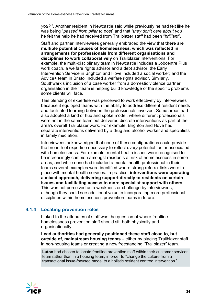*you?*'". Another resident in Newcastle said while previously he had felt like he was being "*passed from pillar to post*" and that "*they don't care about you*", he felt the help he had received from Trailblazer staff had been "*brilliant*".

Staff and partner interviewees generally embraced the view that **there are multiple potential causes of homelessness, which was reflected in arrangements for professionals from different organisations and disciplines to work collaboratively** on Trailblazer interventions. For example, the multi-disciplinary team in Newcastle includes a Jobcentre Plus work coach, a welfare rights advisor and a debt advisor; the Early Intervention Service in Brighton and Hove included a social worker; and the Advice+ team in Bristol included a welfare rights advisor. Similarly, Southwark's inclusion of a case worker from a domestic violence partner organisation in their team is helping build knowledge of the specific problems some clients will face.

This blending of expertise was perceived to work effectively by interviewees because it equipped teams with the ability to address different resident needs and facilitated learning between the professionals involved. Some areas had also adopted a kind of hub and spoke model, where different professionals were not in the same team but delivered discrete interventions as part of the area's overall Trailblazer work. For example, Brighton and Hove had separate interventions delivered by a drug and alcohol worker and specialists in family mediation.

Interviewees acknowledged that none of these configurations could provide the breadth of expertise necessary to reflect *every* potential factor associated with homelessness. For example, mental health issues were recognised to be increasingly common amongst residents at risk of homelessness in some areas, and while none had included a mental health professional in their teams several examples were identified where strong referral links were in place with mental health services. In practice, **interventions were operating a mixed approach, delivering support directly to residents on certain issues and facilitating access to more specialist support with others**. This was not perceived as a weakness or challenge by interviewees, although they could see additional value in incorporating more professional disciplines within homelessness prevention teams in future.

#### **4.1.4 Locating prevention roles**

Linked to the attributes of staff was the question of where frontline homelessness prevention staff should sit, both physically and organisationally.

**Lead authorities had generally positioned these staff close to, but outside of, mainstream housing teams** – either by placing Trailblazer staff in non-housing teams or creating a new freestanding "Trailblazer" team.

**Luton** had chosen to locate frontline prevention staff within their customer services team rather than in a housing team, in order to "change the culture from a transactional issue-focused model to a holistic resident centred intervention."

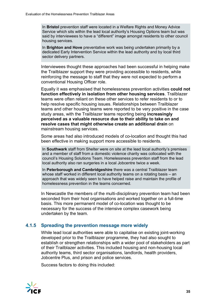In **Bristol** prevention staff were located in a Welfare Rights and Money Advice Service which sits within the lead local authority's Housing Options team but was said by interviewees to have a "different" image amongst residents to other council housing services.

In **Brighton and Hove** preventative work was being undertaken primarily by a dedicated Early Intervention Service within the lead authority and by local third sector delivery partners.

Interviewees thought these approaches had been successful in helping make the Trailblazer support they were providing accessible to residents, while reinforcing the message to staff that they were not expected to perform a conventional Housing Officer role.

Equally it was emphasised that homelessness prevention activities **could not function effectively in isolation from other housing services**. Trailblazer teams were often reliant on these other services to refer residents to or to help resolve specific housing issues. Relationships between Trailblazer teams and other housing teams were reported to be very positive in the case study areas, with the Trailblazer teams reporting being **increasingly perceived as a valuable resource due to their ability to take on and resolve cases that might otherwise create an additional drain** on mainstream housing services.

Some areas had also introduced models of co-location and thought this had been effective in making support more accessible to residents.

In **Southwark** staff from Shelter were on site at the lead local authority's premises and a member of staff from a domestic violence charity was collocated with the council's Housing Solutions Team. Homelessness prevention staff from the lead local authority also ran surgeries in a local Jobcentre twice a week.

In **Peterborough and Cambridgeshire** there was a central Trailblazer team whose staff worked in different local authority teams on a rotating basis – an approach that was widely seen to have helped raise and maintain the profile of homelessness prevention in the teams concerned.

In Newcastle the members of the multi-disciplinary prevention team had been seconded from their host organisations and worked together on a full-time basis. This more permanent model of co-location was thought to be necessary for the success of the intensive complex casework being undertaken by the team.

#### **4.1.5 Spreading the prevention message more widely**

While lead local authorities were able to capitalise on existing joint-working developed prior to the Trailblazer programme, they had also sought to establish or strengthen relationships with a wider pool of stakeholders as part of their Trailblazer activities. This included housing and non-housing local authority teams, third sector organisations, landlords, health providers, Jobcentre Plus, and prison and police services.

Success factors to doing this included:

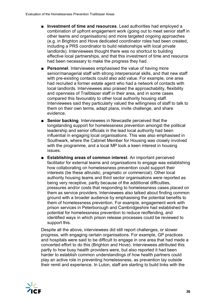- **Investment of time and resources**. Lead authorities had employed a combination of upfront engagement work (going out to meet senior staff in other teams and organisations) and more targeted ongoing approaches (e.g. in Brighton and Hove dedicated coordinator roles had been created, including a PRS coordinator to build relationships with local private landlords). Interviewees thought there was no shortcut to building effective local partnerships, and that this investment of time and resource had been necessary to make the progress they had.
- **Personnel**. Interviewees emphasised the value of having more senior/managerial staff with strong interpersonal skills, and that new staff with pre-existing contacts could also add value. For example, one area had recruited a former estate agent who had a network of contacts with local landlords. Interviewees also praised the approachability, flexibility and openness of Trailblazer staff in their area, and in some cases compared this favourably to other local authority housing staff. Interviewees said they particularly valued the willingness of staff to talk to them on their own terms, adapt plans, invite challenge, and share evidence.
- **Senior backing**. Interviewees in Newcastle perceived that the longstanding support for homelessness prevention amongst the political leadership and senior officials in the lead local authority had been influential in engaging local organisations. This was also emphasised in Southwark, where the Cabinet Member for Housing was closely involved with the programme, and a local MP took a keen interest in housing issues.
- **Establishing areas of common interest**. An important perceived facilitator for external teams and organisations to engage was establishing how collaborating on homelessness prevention could support their interests (be these altruistic, pragmatic or commercial). Other local authority housing teams and third sector organisations were reported as being very receptive, partly because of the additional difficulties, pressures and/or costs that responding to homelessness cases placed on them as service providers. Interviewees also talked about finding common ground with a broader audience by emphasising the potential benefits to them of homelessness prevention. For example, engagement work with prison services in Peterborough and Cambridgeshire had established the potential for homelessness prevention to reduce reoffending, and identified ways in which prison release processes could be reviewed to support this.

Despite all the above, interviewees did still report challenges, or slower progress, with engaging certain organisations. For example, GP practices and hospitals were said to be difficult to engage in one area that had made a concerted effort to do this (Brighton and Hove). Interviewees attributed this partly to how busy health providers were, but also reported it had been harder to establish common understandings of how health partners could play an active role in preventing homelessness, as prevention lay outside their remit and experience. In Luton, staff are starting to build links with the

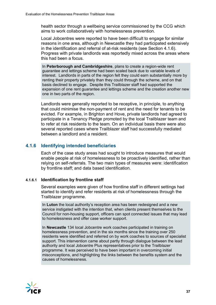health sector through a wellbeing service commissioned by the CCG which aims to work collaboratively with homelessness prevention.

Local Jobcentres were reported to have been difficult to engage for similar reasons in one area, although in Newcastle they had participated extensively in the identification and referral of at-risk residents (see Section 4.1.6). Progress with private landlords was reportedly mixed across the areas where this had been a focus.

In **Peterborough and Cambridgeshire**, plans to create a region-wide rent guarantee and lettings scheme had been scaled back due to variable levels of interest. Landlords in parts of the region felt they could earn substantially more by renting their property privately than they could through the scheme, and on that basis declined to engage. Despite this Trailblazer staff had supported the expansion of one rent guarantee and lettings scheme and the creation another new one in two parts of the region.

Landlords were generally reported to be receptive, in principle, to anything that could minimise the non-payment of rent and the need for tenants to be evicted. For example, in Brighton and Hove, private landlords had agreed to participate in a Tenancy Pledge promoted by the local Trailblazer team and to refer at risk residents to the team. On an individual basis there were also several reported cases where Trailblazer staff had successfully mediated between a landlord and a resident.

#### **4.1.6 Identifying intended beneficiaries**

Each of the case study areas had sought to introduce measures that would enable people at risk of homelessness to be proactively identified, rather than relying on self-referrals. The two main types of measures were: identification by frontline staff; and data based identification.

#### **4.1.6.1 Identification by frontline staff**

Several examples were given of how frontline staff in different settings had started to identify and refer residents at risk of homelessness through the Trailblazer programme.

In **Luton** the local authority's reception area has been redesigned and a new service instigated with the intention that, when clients present themselves to the Council for non-housing support, officers can spot connected issues that may lead to homelessness and offer case worker support.

In **Newcastle** 134 local Jobcentre work coaches participated in training on homelessness prevention, and in the six months since the training over 250 residents were identified and referred on by work coaches to sources of specialist support. This intervention came about partly through dialogue between the lead authority and local Jobcentre Plus representatives prior to the Trailblazer programme. It was perceived to have been important in overcoming initial misconceptions, and highlighting the links between the benefits system and the causes of homelessness.

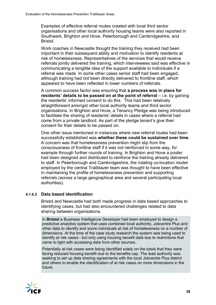Examples of effective referral routes created with local third sector organisations and other local authority housing teams were also reported in Southwark, Brighton and Hove, Peterborough and Cambridgeshire, and Bristol.

Work coaches in Newcastle thought the training they received had been important in their subsequent ability and motivation to identify residents at risk of homelessness. Representatives of the services that would receive referrals jointly delivered the training, which interviewees said was effective in communicating a tangible idea of the support available to individuals if a referral was made. In some other cases senior staff had been engaged, although training had not been directly delivered to frontline staff, which appeared to have been reflected in lower numbers of referrals.

A common success factor was ensuring that **a process was in place for residents' details to be passed on at the point of referral** – i.e. by gaining the residents' informed consent to do this. This had been relatively straightforward amongst other local authority teams and third sector organisations. In Brighton and Hove, a Tenancy Pledge was being introduced to facilitate the sharing of residents' details in cases where a referral had come from a private landlord. As part of the pledge tenant's give their consent for their details to be passed on.

One other issue mentioned in instances where new referral routes had been successfully established was **whether these could be sustained over time**. A concern was that homelessness prevention might slip from the consciousness of frontline staff if it was not reinforced in some way, for example through further rounds of training. In Brighton and Hove a poster had been designed and distributed to reinforce the training already delivered to staff. In Peterborough and Cambridgeshire, the rotating co-location model employed by the central Trailblazer team was thought to have been effective in maintaining the profile of homelessness prevention and supporting referrals (across a large geographical area and several participating local authorities).

#### **4.1.6.2 Data based identification**

Bristol and Newcastle had both made progress in data based approaches to identifying cases, but had also encountered challenges related to data sharing between organisations.

In **Bristol** a Business Intelligence Developer had been employed to design a predictive analytics system that uses combined local authority, Jobcentre Plus and other data to identify and score individuals at risk of homelessness on a number of dimensions. At the time of the case study research the system was being used to identify at risk cases - but only using housing benefit data due to restrictions that came to light with accessing data from other sources.

Potentially at-risk cases were being identified solely on the basis that they were facing reduced housing benefit due to the benefits cap. The lead authority was seeking to set up data sharing agreements with the local Jobcentre Plus district and others to enable the identification of at risk cases on more dimensions in the future.

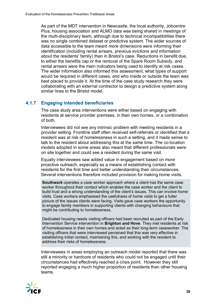As part of the MDT intervention in Newcastle, the local authority, Jobcentre Plus, housing association and ALMO data was being shared in meetings of the multi-disciplinary team, although due to technical incompatibilities there was no single combined dataset or predictive system. The wider sources of data accessible to the team meant more dimensions were informing their identification (including rental arrears, previous evictions and information about the residents' family) than in Bristol's case. Reductions in benefit due, to either the benefits cap or the removal of the Spare Room Subsidy, and rental arrears were the main indicators being used to identify at risk cases. The wider information also informed this assessment, what types of support would be required in different cases, and who inside or outside the team was best placed to provide it. At the time of the case study research they were collaborating with an external contractor to design a predictive system along similar lines to the Bristol model.

#### **4.1.7 Engaging intended beneficiaries**

The case study area interventions were either based on engaging with residents at service provider premises, in their own homes, or a combination of both.

Interviewees did not see any intrinsic problem with meeting residents in a provider setting. Frontline staff often received self-referrals or identified that a resident was at risk of homelessness in such a setting, and it made sense to talk to the resident about addressing this at the same time. The co-location models adopted in some areas also meant that different professionals were on site together and could see a resident during the same visit.

Equally interviewees saw added value in engagement based on more proactive outreach, especially as a means of establishing contact with residents for the first time and better understanding their circumstances. Several interventions therefore included provision for making home visits.

**Southwark** operates a case worker approach where a client has the same case worker throughout their contact which enables the case worker and the client to build trust and a strong understanding of the client's issues. This can involve home visits. Case workers emphasised the usefulness of home visits to get a fuller picture of the issues clients were facing. Visits gave case workers the opportunity to engage family members in supporting clients with changing behaviours that might be contributing to homelessness.

Dedicated housing needs visiting officers had been recruited as part of the Early Intervention Service intervention in **Brighton and Hove**. They met residents at risk of homelessness in their own homes and acted as their long-term caseworker. The visiting officers that were interviewed perceived that this was very effective in establishing initial contact, maintaining this, and working with the resident to address their risks of homelessness.

Interviewees in areas employing an outreach model reported that there was still a minority or hardcore of residents who could not be engaged until their circumstances had effectively reached a crisis point. However they still reported engaging a much higher proportion of residents than other housing teams.

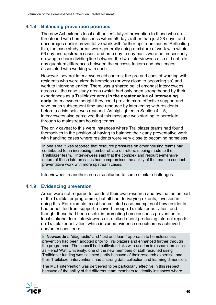#### **4.1.8 Balancing prevention priorities**

The new Act extends local authorities' duty of prevention to those who are threatened with homelessness within 56 days rather than just 28 days, and encourages earlier preventative work with further upstream cases. Reflecting this, the case study areas were generally doing a mixture of work with within 56 day and upstream cases, and on a day to day basis were not necessarily drawing a sharp dividing line between the two. Interviewees also did not cite any quantum differences between the success factors and challenges associated with working with each.

However, several interviewees did contrast the pro and cons of working with residents who were already homeless (or very close to becoming so) and work to intervene earlier. There was a shared belief amongst interviewees across all the case study areas (which had only been strengthened by their experiences as a Trailblazer area) **in the greater value of intervening early**. Interviewees thought they could provide more effective support and save much subsequent time and resource by intervening with residents before a crisis point was reached. As highlighted in Section 4.1.5, interviewees also perceived that this message was starting to percolate through to mainstream housing teams.

The only caveat to this were instances where Trailblazer teams had found themselves in the position of having to balance their early preventative work with handling cases where residents were very close to becoming homeless.

In one area it was reported that resource pressures on other housing teams had contributed to an increasing number of late-on referrals being made to the Trailblazer team. Interviewees said that the complex and resource-intensive nature of these late-on cases had compromised the ability of the team to conduct preventative work with more upstream cases.

Interviewees in another area also alluded to some similar challenges.

#### **4.1.9 Evidencing prevention**

Areas were not required to conduct their own research and evaluation as part of the Trailblazer programme, but all had, to varying extents, invested in doing this. For example, most had collated case examples of how residents had benefitted from support received through Trailblazer activities, and thought these had been useful in promoting homelessness prevention to local stakeholders. Interviewees also talked about producing internal reports on Trailblazer activities, which included evidence on outcomes achieved and/or lessons learnt.

In **Newcastle** a "diagnostic" and "test and learn" approach to homelessness prevention had been adopted prior to Trailblazers and enhanced further through the programme. The council had cultivated links with academic researchers such as Heriot Watt University, one of the new members of staff recruited using Trailblazer funding was selected partly because of their research expertise, and their Trailblazer interventions had a strong data collection and learning dimension.

The MDT intervention was perceived to be particularly effective in this respect because of the ability of the different team members to identify instances where

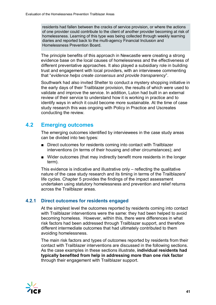residents had fallen between the cracks of service provision, or where the actions of one provider could contribute to the client of another provider becoming at risk of homelessness. Learning of this type was being collected through weekly learning diaries and reported back to the multi-agency Financial Inclusion and Homelessness Prevention Board.

The principle benefits of this approach in Newcastle were creating a strong evidence base on the local causes of homelessness and the effectiveness of different preventative approaches. It also played a subsidiary role in building trust and engagement with local providers, with an interviewee commenting that "*evidence helps create consensus and provide transparency*".

Southwark had also invited Shelter to conduct a mystery shopping initiative in the early days of their Trailblazer provision, the results of which were used to validate and improve the service. In addition, Luton had built in an external review of their service to understand how it is working in practice and to identify ways in which it could become more sustainable. At the time of case study research this was ongoing with Policy in Practice and Uscreates conducting the review.

## <span id="page-45-0"></span>**4.2 Emerging outcomes**

The emerging outcomes identified by interviewees in the case study areas can be divided into two types:

- Direct outcomes for residents coming into contact with Trailblazer interventions (in terms of their housing and other circumstances); and
- Wider outcomes (that may indirectly benefit more residents in the longer term).

This evidence is indicative and illustrative only – reflecting the qualitative nature of the case study research and its timing in terms of the Trailblazers' life cycles. Chapter 5 provides the findings of the impact assessment undertaken using statutory homelessness and prevention and relief returns across the Trailblazer areas.

## **4.2.1 Direct outcomes for residents engaged**

At the simplest level the outcomes reported by residents coming into contact with Trailblazer interventions were the same: they had been helped to avoid becoming homeless. However, within this, there were differences in what risk factors had been addressed through Trailblazer support, and therefore different intermediate outcomes that had ultimately contributed to them avoiding homelessness.

The main risk factors and types of outcomes reported by residents from their contact with Trailblazer interventions are discussed in the following sections. As the case examples in these sections illustrate, **individual residents had typically benefited from help in addressing more than one risk factor** through their engagement with Trailblazer support.

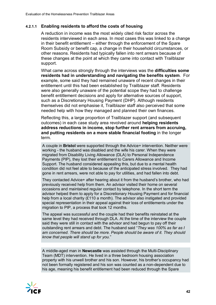#### **4.2.1.1 Enabling residents to afford the costs of housing**

A reduction in income was the most widely cited risk factor across the residents interviewed in each area. In most cases this was linked to a change in their benefit entitlement – either through the enforcement of the Spare Room Subsidy or benefit cap, a change in their household circumstances, or other reasons. Residents had typically fallen into rent arrears because of these changes at the point at which they came into contact with Trailblazer support.

What came across strongly through the interviews was the **difficulties some residents had in understanding and navigating the benefits system**. For example, some said they had remained unaware of recent changes in their entitlement until this had been established by Trailblazer staff. Residents were also generally unaware of the potential scope they had to challenge benefit entitlement decisions and apply for alternative sources of support, such as a Discretionary Housing Payment (DHP). Although residents themselves did not emphasise it, Trailblazer staff also perceived that some needed help with how they managed and planned their own finances.

Reflecting this, a large proportion of Trailblazer support (and subsequent outcomes) in each case study area revolved around **helping residents address reductions in income, stop further rent arrears from accruing, and putting residents on a more stable financial footing** in the longer term.

A couple in **Bristol** were supported through the Advice+ intervention. Neither were working - the husband was disabled and the wife his carer. When they were migrated from Disability Living Allowance (DLA) to Personal Independence Payments (PIP), they lost their entitlement to Carers Allowance and Income Support. The husband considered appealing this, but due to a mental health condition did not feel able to because of the anticipated stress involved. They had gone in rent arrears, were not able to pay for utilities, and had fallen into debt.

They contacted Advice+ after hearing about it from the husband's brother, who had previously received help from them. An advisor visited their home on several occasions and maintained regular contact by telephone. In the short term the advisor helped them to apply for a Discretionary Housing Payment and for financial help from a local charity (£110 a month). The advisor also instigated and provided special representation in their appeal against their loss of entitlements under the migration to PIP, a process that took 12 months.

The appeal was successful and the couple had their benefits reinstated at the same level they had received through DLA. At the time of the interview the couple said they were still in contact with the advisor and had begun to pay off their outstanding rent arrears and debt. The husband said "*They was 100% as far as I am concerned. There should be more. People should be aware of it. They should know that people will stand up for you.*"

A middle-aged man in **Newcastle** was assisted through the Multi-Disciplinary Team (MDT) intervention. He lived in a three bedroom housing association property with his unwell brother and his son. However, his brother's occupancy had not been formally registered and his son was counted as a non-dependent due to his age, meaning his benefit entitlement had been reduced through the Spare

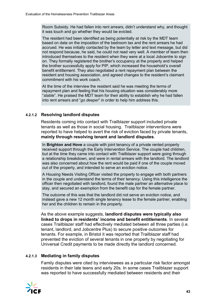Room Subsidy. He had fallen into rent arrears, didn't understand why, and thought it was touch and go whether they would be evicted.

The resident had been identified as being potentially at risk by the MDT team based on data on the imposition of the bedroom tax and the rent arrears he had accrued. He was initially contacted by the team by letter and text message, but did not respond because, he said, he could not read very well. A member of team then introduced themselves to the resident when they were at a local Jobcentre to sign on. They formally registered the brother's occupancy at the property and helped the brother successfully apply for PIP, which increased the household's overall benefit entitlement. They also negotiated a rent repayment plan between the resident and housing association, and agreed changes to the resident's claimant commitment with his work coach.

At the time of the interview the resident said he was meeting the terms of repayment plan and feeling that his housing situation was considerably more "*stable*". He praised the MDT team for their ability to establish why he had fallen into rent arrears and "*go deeper*" in order to help him address this.

#### **4.2.1.2 Resolving landlord disputes**

Residents coming into contact with Trailblazer support included private tenants as well as those in social housing. Trailblazer interventions were reported to have helped to avert the risk of eviction faced by private tenants, **mainly through resolving tenant and landlord disputes**.

In **Brighton and Hove** a couple with joint tenancy of a private rented property received support through the Early Intervention Service. The couple had children, but at the time they came into contact with Trailblazer support were going through a relationship breakdown, and were in rental arrears with the landlord. The landlord was also concerned about how the rent would be paid if one of the couple moved out of the property, and intended to serve an eviction notice.

A Housing Needs Visiting Officer visited the property to engage with both partners in the couple and understand the terms of their tenancy. Using this intelligence the officer then negotiated with landlord, found the male partner an alternative place to stay, and secured an exemption from the benefit cap for the female partner.

The outcome of this was that the landlord did not serve an eviction notice, and instead gave a new 12 month single tenancy lease to the female partner, enabling her and the children to remain in the property.

As the above example suggests, **landlord disputes were typically also linked to drops in residents' income and benefit entitlements**. In several cases Trailblazer staff had effectively mediated between all three parties (i.e. tenant, landlord, and Jobcentre Plus) to secure positive outcomes for tenants. For example, in Bristol it was reported that Trailblazer staff had prevented the eviction of several tenants in one property by negotiating for Universal Credit payments to be made directly the landlord concerned.

#### **4.2.1.3 Mediating in family disputes**

Family disputes were cited by interviewees as a particular risk factor amongst residents in their late teens and early 20s. In some cases Trailblazer support was reported to have successfully mediated between residents and their

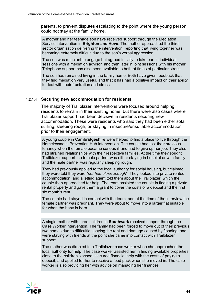parents, to prevent disputes escalating to the point where the young person could not stay at the family home.

A mother and her teenage son have received support through the Mediation Service intervention in **Brighton and Hove**. The mother approached the third sector organisation delivering the intervention, reporting that living together was becoming extremely difficult due to the son's verbal aggression.

The son was reluctant to engage but agreed initially to take part in individual sessions with a mediation advisor, and then later in joint sessions with his mother. Telephone support has also been available to both at times of particular stress.

The son has remained living in the family home. Both have given feedback that they find mediation very useful, and that it has had a positive impact on their ability to deal with their frustration and stress.

#### **4.2.1.4 Securing new accommodation for residents**

The majority of Trailblazer interventions were focused around helping residents to remain in their existing home, but there were also cases where Trailblazer support had been decisive in residents securing new accommodation. These were residents who said they had been either sofa surfing, sleeping rough, or staying in insecure/unsuitable accommodation prior to their engagement.

A young couple in **Cambridgeshire** were helped to find a place to live through the Homelessness Prevention Hub intervention. The couple had lost their previous tenancy when the female became serious ill and had to give up her job. They also had strained relationships with their respective families. At the time they sought Trailblazer support the female partner was either staying in hospital or with family and the male partner was regularly sleeping rough.

They had previously applied to the local authority for social housing, but claimed they were told they were "*not homeless enough*". They looked into private rented accommodation, and a letting agent told them about the Trailblazer, which the couple then approached for help. The team assisted the couple in finding a private rental property and gave them a grant to cover the costs of a deposit and the first six month's rent.

The couple had stayed in contact with the team, and at the time of the interview the female partner was pregnant. They were about to move into a larger flat suitable for when the baby is born.

A single mother with three children in **Southwark** received support through the Case Worker intervention. The family had been forced to move out of their previous two homes due to difficulties paying the rent and damage caused by flooding, and were staying with friends at the point she came into contact with Trailblazer support.

The mother was directed to a Trailblazer case worker when she approached the local authority for help. The case worker assisted her in finding available properties close to the children's school, secured financial help with the costs of paying a deposit, and applied for her to receive a food pack when she moved in. The case worker is also providing her with advice on managing her finances.

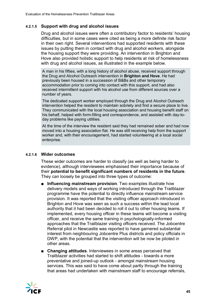#### **4.2.1.5 Support with drug and alcohol issues**

Drug and alcohol issues were often a contributory factor to residents' housing difficulties, but in some cases were cited as being a more definite risk factor in their own right. Several interventions had supported residents with these issues by putting them in contact with drug and alcohol workers, alongside the housing support they were providing. An intervention in Brighton and Hove also provided holistic support to help residents at risk of homelessness with drug and alcohol issues, as illustrated in the example below.

A man in his fifties, with a long history of alcohol abuse, received support through the Drug and Alcohol Outreach intervention in **Brighton and Hove**. He had previously been housed in a succession of B&Bs and other temporary accommodation prior to coming into contact with this support, and had also received intermittent support with his alcohol use from different sources over a number of years.

The dedicated support worker employed through the Drug and Alcohol Outreach intervention helped the resident to maintain sobriety and find a secure place to live. They communicated with the local housing association and housing benefit staff on his behalf, helped with form-filling and correspondence, and assisted with day-today problems like paying utilities.

At the time of the interview the resident said they had remained sober and had now moved into a housing association flat. He was still receiving help from the support worker and, with their encouragement, had started volunteering at a local social enterprise.

#### **4.2.1.6 Wider outcomes**

These wider outcomes are harder to classify (as well as being harder to evidence), although interviewees emphasised their importance because of their **potential to benefit significant numbers of residents in the future**. They can loosely be grouped into three types of outcome:

- **Influencing mainstream provision**. Two examples illustrate how delivery models and ways of working introduced through the Trailblazer programme have the potential to directly influence mainstream service provision. It was reported that the visiting officer approach introduced in Brighton and Hove was seen as such a success within the lead local authority that it had been decided to roll it out to other housing teams. If implemented, every housing officer in these teams will become a visiting officer, and receive the same training in psychologically-informed approaches that the Trailblazer visiting officers received. The Jobcentre Referral pilot in Newcastle was reported to have garnered substantial interest from neighbouring Jobcentre Plus districts and policy officials in DWP, with the potential that the intervention will be now be piloted in other areas.
- **Changing attitudes**. Interviewees in some areas perceived that Trailblazer activities had started to shift attitudes - towards a more preventative and joined-up outlook - amongst mainstream housing services. This was said to have come about partly through the training that areas had undertaken with mainstream staff to encourage referrals,

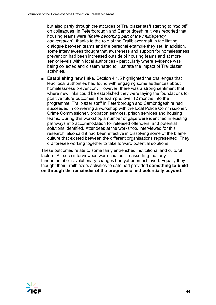but also partly through the attitudes of Trailblazer staff starting to "*rub off*" on colleagues. In Peterborough and Cambridgeshire it was reported that housing teams were "*finally becoming part of the multiagency conversation*", thanks to the role of the Trailblazer staff in facilitating dialogue between teams and the personal example they set. In addition, some interviewees thought that awareness and support for homelessness prevention had been increased outside of housing teams and at more senior levels within local authorities - particularly where evidence was being collected and disseminated to illustrate the impact of Trailblazer activities.

■ **Establishing new links**. Section 4.1.5 highlighted the challenges that lead local authorities had found with engaging some audiences about homelessness prevention. However, there was a strong sentiment that where new links could be established they were laying the foundations for positive future outcomes. For example, over 12 months into the programme, Trailblazer staff in Peterborough and Cambridgeshire had succeeded in convening a workshop with the local Police Commissioner, Crime Commissioner, probation services, prison services and housing teams. During this workshop a number of gaps were identified in existing pathways into accommodation for released offenders, and potential solutions identified. Attendees at the workshop, interviewed for this research, also said it had been effective in dissolving some of the blame culture that existed between the different organisations represented. They did foresee working together to take forward potential solutions.

These outcomes relate to some fairly entrenched institutional and cultural factors. As such interviewees were cautious in asserting that any fundamental or revolutionary changes had yet been achieved. Equally they thought their Trailblazers activities to date had provided **something to build on through the remainder of the programme and potentially beyond**.

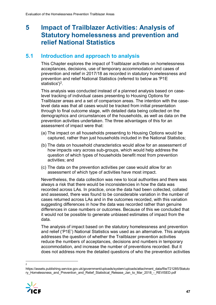## <span id="page-51-0"></span>**5 Impact of Trailblazer Activities: Analysis of Statutory homelessness and prevention and relief National Statistics**

## <span id="page-51-1"></span>**5.1 Introduction and approach to analysis**

This Chapter explores the impact of Trailblazer activities on homelessness acceptances, decisions, use of temporary accommodation and cases of prevention and relief in 2017/18 as recorded in statutory homelessness and prevention and relief National Statistics (referred to below as 'P1E statistics')<sup>[2](#page-51-2)</sup>.

This analysis was conducted instead of a planned analysis based on caselevel tracking of individual cases presenting to Housing Options for Trailblazer areas and a set of comparison areas. The intention with the caselevel data was that all cases would be tracked from initial presentation through to final outcome stage, with detailed data being collected on the demographics and circumstances of the households, as well as data on the prevention activities undertaken. The three advantages of this for an assessment of impact were that:

- (a) The impact on all households presenting to Housing Options would be captured, rather than just households included in the National Statistics;
- (b) The data on household characteristics would allow for an assessment of how impacts vary across sub-groups, which would help address the question of which types of households benefit most from prevention activities; and
- (c) The data on the prevention activities per case would allow for an assessment of which type of activities have most impact.

Nevertheless, the data collection was new to local authorities and there was always a risk that there would be inconsistencies in how the data was recorded across LAs. In practice, once the data had been collected, collated and assessed, there was found to be considerable variation in the number of cases returned across LAs and in the outcomes recorded, with this variation suggesting differences in how the data was recorded rather than genuine differences in case numbers or outcomes. Because of this we concluded that it would not be possible to generate unbiased estimates of impact from the data.

The analysis of impact based on the statutory homelessness and prevention and relief ('P1E') National Statistics was used as an alternative. This analysis addresses the question of whether the Trailblazer prevention activities reduce the numbers of acceptances, decisions and numbers in temporary accommodation, and increase the number of preventions recorded. But it does not address more the detailed questions of who the prevention activities

<span id="page-51-2"></span>https://assets.publishing.service.gov.uk/government/uploads/system/uploads/attachment\_data/file/721285/Statuto ry\_Homelessness\_and\_Prevention\_and\_Relief\_Statistical\_Release\_Jan\_to\_Mar\_2018\_-\_REVISED.pdf



 $\frac{1}{2}$  $\overline{2}$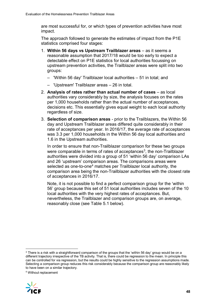are most successful for, or which types of prevention activities have most impact.

The approach followed to generate the estimates of impact from the P1E statistics comprised four stages:

- 1. **Within 56 days vs Upstream Trailblazer areas** as it seems a reasonable assumption that 2017/18 would be too early to expect a detectable effect on P1E statistics for local authorities focussing on upstream prevention activities, the Trailblazer areas were split into two groups:
	- 'Within 56 day' Trailblazer local authorities 51 in total; and
	- 'Upstream' Trailblazer areas 26 in total.
- 2. **Analysis of rates rather than actual number of cases** as local authorities vary considerably by size, the analysis focuses on the rates per 1,000 households rather than the actual number of acceptances, decisions etc. This essentially gives equal weight to each local authority regardless of size.
- 3. **Selection of comparison areas** prior to the Trailblazers, the Within 56 day and Upstream Trailblazer areas differed quite considerably in their rate of acceptances per year. In 2016/17, the average rate of acceptances was 3.3 per 1,000 households in the Within 56 day local authorities and 1.6 in the Upstream authorities.

In order to ensure that non-Trailblazer comparison for these two groups were comparable in terms of rates of acceptances<sup>3</sup>, the non-Trailblazer authorities were divided into a group of 51 'within 56 day' comparison LAs and 26 'upstream' comparison areas. The comparisons areas were selected as one-to-one<sup>[4](#page-52-1)</sup> matches per Trailblazer local authority, the comparison area being the non-Trailblazer authorities with the closest rate of acceptances in 2016/17.

Note, it is not possible to find a perfect comparison group for the 'within 56' group because this set of 51 local authorities includes seven of the 10 local authorities with the very highest rates of acceptances. But, nevertheless, the Trailblazer and comparison groups are, on average, reasonably close (see Table 5.1 below).

<span id="page-52-1"></span><sup>4</sup> Without replacement



<span id="page-52-0"></span> $3$  There is a risk with a straightforward comparison of the groups that the 'within 56 day' group would be on a different trajectory irrespective of the TB activity. That is, there could be regression to the mean. In principle this can be controlled for via regression, but the results could be highly sensitive to the regression assumptions made. Selecting a comparison group reduces this risk considerably because the comparison group are reasonably likely to have been on a similar trajectory.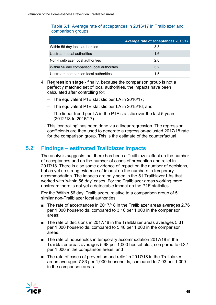#### Table 5.1 Average rate of acceptances in 2016/17 in Trailblazer and comparison groups

|                                            | Average rate of acceptances 2016/17 |
|--------------------------------------------|-------------------------------------|
| Within 56 day local authorities            | 3.3                                 |
| Upstream local authorities                 | 1.6                                 |
| Non-Trailblazer local authorities          | 2.0                                 |
| Within 56 day comparison local authorities | 3 <sup>2</sup>                      |
| Upstream comparison local authorities      | 1.5                                 |

- 4. **Regression stage** finally, because the comparison group is not a perfectly matched set of local authorities, the impacts have been calculated after controlling for:
	- The equivalent P1E statistic per LA in 2016/17;
	- The equivalent P1E statistic per LA in 2015/16; and
	- The linear trend per LA in the P1E statistic over the last 5 years (2012/13 to 2016/17).

This 'controlling' has been done via a linear regression. The regression coefficients are then used to generate a regression-adjusted 2017/18 rate for the comparison group. This is the estimate of the counterfactual.

## <span id="page-53-0"></span>**5.2 Findings – estimated Trailblazer impacts**

The analysis suggests that there has been a Trailblazer effect on the number of acceptances and on the number of cases of prevention and relief in 2017/18. There is also some evidence of impact on the number of decisions, but as yet no strong evidence of impact on the numbers in temporary accommodation. The impacts are only seen in the 51 Trailblazer LAs that worked with 'within 56 day' cases. For the Trailblazer areas working more upstream there is not yet a detectable impact on the P1E statistics.

For the 'Within 56 day' Trailblazers, relative to a comparison group of 51 similar non-Trailblazer local authorities:

- The rate of acceptances in 2017/18 in the Trailblazer areas averages 2.76 per 1,000 households, compared to 3.16 per 1,000 in the comparison areas;
- The rate of decisions in 2017/18 in the Trailblazer areas averages 5.31 per 1,000 households, compared to 5.48 per 1,000 in the comparison areas;
- The rate of households in temporary accommodation 2017/18 in the Trailblazer areas averages 5.98 per 1,000 households, compared to 6.22 per 1,000 in the comparison areas; and
- The rate of cases of prevention and relief in 2017/18 in the Trailblazer areas averages 7.83 per 1,000 households, compared to 7.03 per 1,000 in the comparison areas.

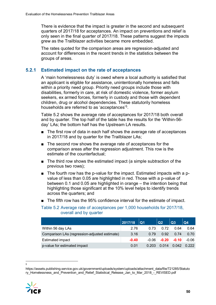There is evidence that the impact is greater in the second and subsequent quarters of 2017/18 for acceptances. An impact on preventions and relief is only seen in the final quarter of 2017/18. These patterns suggest the impacts grew as the Trailblazer activities became more embedded.

The rates quoted for the comparison areas are regression-adjusted and account for differences in the recent trends in the statistics between the groups of areas.

### **5.2.1 Estimated impact on the rate of acceptances**

A 'main homelessness duty' is owed where a local authority is satisfied that an applicant is eligible for assistance, unintentionally homeless and falls within a priority need group. Priority need groups include those with disabilities, formerly in care, at risk of domestic violence, former asylum seekers, ex armed forces, formerly in custody and those with dependent children, drug or alcohol dependencies. These statutorily homeless households are referred to as 'acceptances'[5.](#page-54-0)

Table 5.2 shows the average rate of acceptances for 2017/18 both overall and by quarter. The top half of the table has the results for the 'Within-56 day' LAs; the bottom half has the Upstream LA results.

- The first row of data in each half shows the average rate of acceptances in 2017/18 and by quarter for the Trailblazer LAs;
- The second row shows the average rate of acceptances for the comparison areas after the regression adjustment. This row is the estimate of the counterfactual;
- The third row shows the estimated impact (a simple subtraction of the previous two rows);
- The fourth row has the p-value for the impact. Estimated impacts with a pvalue of less than 0.05 are highlighted in red. Those with a p-value of between 0.1 and 0.05 are highlighted in orange – the intention being that highlighting those significant at the 10% level helps to identify trends across the quarters; and
- The fifth row has the 95% confidence interval for the estimate of impact.

Table 5.2 Average rate of acceptances per 1,000 households for 2017/18, overall and by quarter

|                                               | 2017/18 | Q1      | Q2      | Q3      | Q <sub>4</sub> |
|-----------------------------------------------|---------|---------|---------|---------|----------------|
| Within 56 day LAs                             | 2.76    | 0.73    | 0.72    | 0.64    | 0.64           |
| Comparison LAs (regression-adjusted estimate) | 3.16    | 0.79    | 0.92    | 0.74    | 0.70           |
| <b>Estimated impact</b>                       | $-0.40$ | $-0.06$ | $-0.20$ | $-0.10$ | $-0.06$        |
| p-value for estimated impact                  | 0.01    | 0.203   | 0.014   | 0.042   | 0.222          |

<span id="page-54-0"></span>https://assets.publishing.service.gov.uk/government/uploads/system/uploads/attachment\_data/file/721285/Statuto ry\_Homelessness\_and\_Prevention\_and\_Relief\_Statistical\_Release\_Jan\_to\_Mar\_2018\_-\_REVISED.pdf



<sup>-&</sup>lt;br>5  $\overline{a}$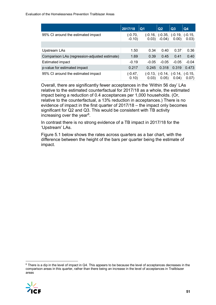|                                               | 2017/18            | Q <sub>1</sub>     | Q <sub>2</sub> | Q3                                   | Q <sub>4</sub>     |
|-----------------------------------------------|--------------------|--------------------|----------------|--------------------------------------|--------------------|
| 95% CI around the estimated impact            | (-0.70,<br>$-0.10$ | (-0.16, l<br>0.03  | $-0.04)$       | $(-0.35,  (-0.19,  $<br>0.00)        | $(-0.15,$<br>0.03) |
|                                               |                    |                    |                |                                      |                    |
| Upstream LAs                                  | 1.50               | 0.34               | 0.40           | 0.37                                 | 0.36               |
| Comparison LAs (regression-adjusted estimate) | 1.69               | 0.39               | 0.45           | 0.41                                 | 0.40               |
| Estimated impact                              | $-0.19$            | $-0.05$            | $-0.05$        | $-0.05$                              | $-0.04$            |
| p-value for estimated impact                  | 0.217              | 0.245              | 0.318          | 0.319                                | 0.473              |
| 95% CI around the estimated impact            | (-0.47,<br>0.10)   | (-0.13, l<br>0.03) | 0.05)          | $(-0.14,  (-0.14,  (-0.15,$<br>0.04) | 0.07)              |

Overall, there are significantly fewer acceptances in the 'Within 56 day' LAs relative to the estimated counterfactual for 2017/18 as a whole, the estimated impact being a reduction of 0.4 acceptances per 1,000 households. (Or, relative to the counterfactual, a 13% reduction in acceptances.) There is no evidence of impact in the first quarter of 2017/18 – the impact only becomes significant for Q2 and Q3. This would be consistent with TB activity increasing over the year $6$ .

In contrast there is no strong evidence of a TB impact in 2017/18 for the 'Upstream' LAs.

Figure 5.1 below shows the rates across quarters as a bar chart, with the difference between the height of the bars per quarter being the estimate of impact.

<span id="page-55-0"></span> $6$  There is a dip in the level of impact in Q4. This appears to be because the level of acceptances decreases in the comparison areas in this quarter, rather than there being an increase in the level of acceptances in Trailblazer areas

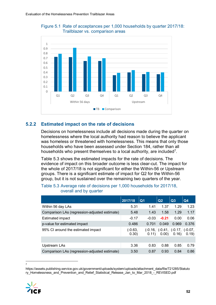



#### **5.2.2 Estimated impact on the rate of decisions**

Decisions on homelessness include all decisions made during the quarter on homelessness where the local authority had reason to believe the applicant was homeless or threatened with homelessness. This means that only those households who have been assessed under Section 184, rather than all households who present themselves to a local authority, are included<sup>[7](#page-56-0)</sup>.

Table 5.3 shows the estimated impacts for the rate of decisions. The evidence of impact on this broader outcome is less clear-cut. The impact for the whole of 2017/18 is not significant for either the Within-56 or Upstream groups. There is a significant estimate of impact for Q2 for the Within-56 group, but it is not sustained over the remaining two quarters of the year.

#### Table 5.3 Average rate of decisions per 1,000 households for 2017/18, overall and by quarter

|                                               | 2017/18          | Q <sub>1</sub>  | Q <sub>2</sub> | Q3                                   | Q <sub>4</sub> |
|-----------------------------------------------|------------------|-----------------|----------------|--------------------------------------|----------------|
| Within 56 day LAs                             | 5.31             | 1.41            | 1.37           | 1.29                                 | 1.23           |
| Comparison LAs (regression-adjusted estimate) | 5.48             | 1.43            | 1.58           | 1.29                                 | 1.17           |
| Estimated impact                              | $-0.17$          | $-0.03$         | $-0.21$        | 0.00                                 | 0.06           |
| p-value for estimated impact                  | 0.486            | 0.701           | 0.049          | 0.969                                | 0.376          |
| 95% CI around the estimated impact            | (-0.63,<br>0.30) | (-0.16,<br>0.11 | 0.00)          | $(-0.41,  (-0.17,  (-0.07,$<br>0.16) | 0.19)          |
|                                               |                  |                 |                |                                      |                |
| Upstream LAs                                  | 3.36             | 0.83            | 0.88           | 0.85                                 | 0.79           |
| Comparison LAs (regression-adjusted estimate) | 3.50             | 0.87            | 0.93           | 0.84                                 | 0.86           |

 $\frac{1}{7}$ 

<span id="page-56-0"></span>https://assets.publishing.service.gov.uk/government/uploads/system/uploads/attachment\_data/file/721285/Statuto ry\_Homelessness\_and\_Prevention\_and\_Relief\_Statistical\_Release\_Jan\_to\_Mar\_2018\_-\_REVISED.pdf

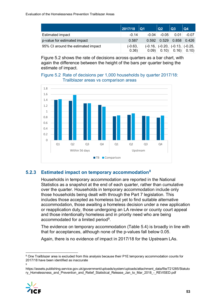|                                    | 2017/18            | Q1      | Q2                                            | Q3           | $\overline{Q4}$ |
|------------------------------------|--------------------|---------|-----------------------------------------------|--------------|-----------------|
| Estimated impact                   | $-0.14$            | $-0.04$ | $-0.05$                                       | 0.01         | -0.07           |
| p-value for estimated impact       | 0.587              |         | 0.592  0.529  0.858  0.426                    |              |                 |
| 95% CI around the estimated impact | $(-0.63,$<br>0.36) | 0.09    | $(-0.16, \, (-0.20, \, (-0.13, \, (-0.25, \,$ | $0.10$ 0.16) | 0.10)           |

Figure 5.2 shows the rate of decisions across quarters as a bar chart, with again the difference between the height of the bars per quarter being the estimate of impact.

#### Figure 5.2 Rate of decisions per 1,000 households by quarter 2017/18: Trailblazer areas vs comparison areas



#### **5.2.3 Estimated impact on temporary accommodation[8](#page-57-0)**

Households in temporary accommodation are reported in the National Statistics as a snapshot at the end of each quarter, rather than cumulative over the quarter. Households in temporary accommodation include only those households being dealt with through the Part 7 legislation. This includes those accepted as homeless but yet to find suitable alternative accommodation, those awaiting a homeless decision under a new application or reapplication duty, those undergoing an LA review or county court appeal and those intentionally homeless and in priority need who are being accommodated for a limited period[9](#page-57-1).

The evidence on temporary accommodation (Table 5.4) is broadly in line with that for acceptances, although none of the p-values fall below 0.05.

Again, there is no evidence of impact in 2017/18 for the Upstream LAs.

<span id="page-57-1"></span>https://assets.publishing.service.gov.uk/government/uploads/system/uploads/attachment\_data/file/721285/Statuto ry\_Homelessness\_and\_Prevention\_and\_Relief\_Statistical\_Release\_Jan\_to\_Mar\_2018\_-\_REVISED.pdf



<span id="page-57-0"></span><sup>8</sup> One Trailblazer area is excluded from this analysis because their P1E temporary accommodation counts for 2017/18 have been identified as inaccurate

<sup>9</sup>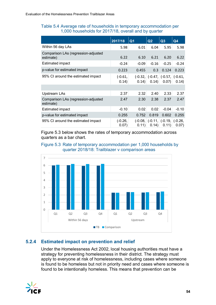#### Table 5.4 Average rate of households in temporary accommodation per 1,000 households for 2017/18, overall and by quarter

|                                                  | 2017/18            | Q <sub>1</sub> | Q <sub>2</sub> | Q3                                            | Q4                 |
|--------------------------------------------------|--------------------|----------------|----------------|-----------------------------------------------|--------------------|
| Within 56 day LAs                                | 5.98               | 6.01           | 6.04           | 5.95                                          | 5.98               |
| Comparison LAs (regression-adjusted<br>estimate) | 6.22               | 6.10           | 6.21           | 6.20                                          | 6.22               |
| <b>Estimated impact</b>                          | $-0.24$            | $-0.09$        | $-0.16$        | $-0.25$                                       | $-0.24$            |
| p-value for estimated impact                     | 0.223              | 0.455          | 0.3            | 0.124                                         | 0.223              |
| 95% CI around the estimated impact               | $(-0.61,$<br>0.14) | 0.14)          | 0.14)          | $(-0.32,  (-0.47,  (-0.57,  (-0.61,$<br>0.07) | 0.14)              |
|                                                  |                    |                |                |                                               |                    |
| Upstream LAs                                     | 2.37               | 2.32           | 2.40           | 2.33                                          | 2.37               |
| Comparison LAs (regression-adjusted<br>estimate) | 2.47               | 2.30           | 2.38           | 2.37                                          | 2.47               |
| <b>Estimated impact</b>                          | $-0.10$            | 0.02           | 0.02           | $-0.04$                                       | $-0.10$            |
| p-value for estimated impact                     | 0.255              | 0.752          | 0.819          | 0.602                                         | 0.255              |
| 95% CI around the estimated impact               | (-0.26,<br>0.07)   | 0.11           | 0.14)          | $(-0.08,  (-0.11,  (-0.19,$<br>0.11)          | $(-0.26,$<br>0.07) |

Figure 5.3 below shows the rates of temporary accommodation across quarters as a bar chart.

#### Figure 5.3 Rate of temporary accommodation per 1,000 households by quarter 2018/18: Trailblazer v comparison areas



## **5.2.4 Estimated impact on prevention and relief**

Under the Homelessness Act 2002, local housing authorities must have a strategy for preventing homelessness in their district. The strategy must apply to everyone at risk of homelessness, including cases where someone is found to be homeless but not in priority need and cases where someone is found to be intentionally homeless. This means that prevention can be

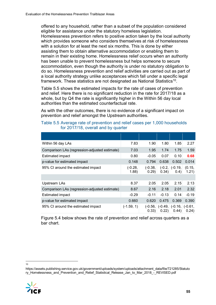offered to any household, rather than a subset of the population considered eligible for assistance under the statutory homeless legislation. Homelessness prevention refers to positive action taken by the local authority which provides someone who considers themselves at risk of homelessness with a solution for at least the next six months. This is done by either assisting them to obtain alternative accommodation or enabling them to remain in their existing home. Homelessness relief occurs when an authority has been unable to prevent homelessness but helps someone to secure accommodation, even though the authority is under no statutory obligation to do so. Homelessness prevention and relief activities are carried out as part of a local authority strategy unlike acceptances which fall under a specific legal framework. These statistics are not designated as National Statistics<sup>[10](#page-59-0)</sup>.

Table 5.5 shows the estimated impacts for the rate of cases of prevention and relief. Here there is no significant reduction in the rate for 2017/18 as a whole, but by Q4 the rate is significantly higher in the Within 56 day local authorities than the estimated counterfactual rate.

As with the other outcomes, there is no evidence of a significant impact on prevention and relief amongst the Upstream authorities.

## Table 5.5 Average rate of prevention and relief cases per 1,000 households for 2017/18, overall and by quarter

| Within 56 day LAs                             | 7.83               | 1.90               | 1.80               | 1.85                      | 2.27               |
|-----------------------------------------------|--------------------|--------------------|--------------------|---------------------------|--------------------|
| Comparison LAs (regression-adjusted estimate) | 7.03               | 1.95               | 1.74               | 1.75                      | 1.59               |
| <b>Estimated impact</b>                       | 0.80               | $-0.05$            | 0.07               | 0.10                      | 0.68               |
| p-value for estimated impact                  | 0.148              | 0.794              | 0.638              | 0.502                     | 0.014              |
| 95% CI around the estimated impact            | $(-0.28,$<br>1.88) | $(-0.38,$<br>0.29) | 0.34)              | $(-0.2, (-0.19,$<br>(0.4) | (0.15,<br>1.21)    |
|                                               |                    |                    |                    |                           |                    |
| Upstream LAs                                  | 8.37               | 2.05               | 2.05               | 2.15                      | 2.13               |
| Comparison LAs (regression-adjusted estimate) | 8.67               | 2.16               | 2.18               | 2.01                      | 2.32               |
| <b>Estimated impact</b>                       | $-0.29$            | $-0.11$            | $-0.13$            | 0.14                      | $-0.19$            |
| p-value for estimated impact                  | 0.660              | 0.620              | 0.475              | 0.369                     | 0.390              |
| 95% CI around the estimated impact            | $(-1.59, 1)$       | (-0.56,<br>0.33)   | $(-0.49,$<br>0.22) | $(-0.16,$<br>0.44)        | $(-0.61,$<br>0.24) |

Figure 5.4 below shows the rate of prevention and relief across quarters as a bar chart.

<span id="page-59-0"></span>https://assets.publishing.service.gov.uk/government/uploads/system/uploads/attachment\_data/file/721285/Statuto ry\_Homelessness\_and\_Prevention\_and\_Relief\_Statistical\_Release\_Jan\_to\_Mar\_2018\_-\_REVISED.pdf



 <sup>10</sup>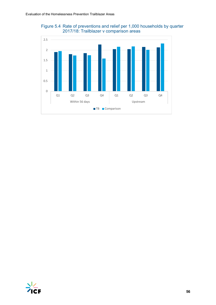



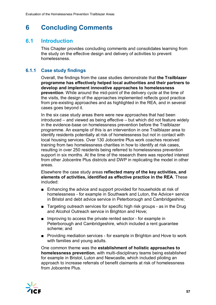## <span id="page-61-0"></span>**6 Concluding Comments**

## <span id="page-61-1"></span>**6.1 Introduction**

This Chapter provides concluding comments and consolidates learning from the study on the effective design and delivery of activities to prevent homelessness.

## **6.1.1 Case study findings**

Overall, the findings from the case studies demonstrate that **the Trailblazer programme has effectively helped local authorities and their partners to develop and implement innovative approaches to homelessness prevention**. While around the mid-point of the delivery cycle at the time of the visits, the design of the approaches implemented reflects good practice from pre-existing approaches and as highlighted in the REA, and in several cases goes beyond it.

In the six case study areas there were new approaches that had been introduced – and viewed as being effective – but which did not feature widely in the evidence-base on homelessness prevention before the Trailblazer programme. An example of this is an intervention in one Trailblazer area to identify residents potentially at risk of homelessness but not in contact with local housing services. Over 130 Jobcentre Plus work coaches received training from two homelessness charities in how to identify at risk cases, resulting in over 250 residents being referred to homelessness prevention support in six months. At the time of the research there was reported interest from other Jobcentre Plus districts and DWP in replicating the model in other areas.

Elsewhere the case study areas **reflected many of the key activities, and elements of activities, identified as effective practice in the REA**. These included:

- Enhancing the advice and support provided for households at risk of homelessness - for example in Southwark and Luton, the Advice+ service in Bristol and debt advice service in Peterborough and Cambridgeshire;
- Targeting outreach services for specific high risk groups as in the Drug and Alcohol Outreach service in Brighton and Hove;
- Improving to access the private rented sector for example in Peterborough and Cambridgeshire, which included a rent guarantee scheme; and
- Providing mediation services for example in Brighton and Hove to work with families and young adults.

One common theme was the **establishment of holistic approaches to homelessness prevention**, with multi-disciplinary teams being established for example in Bristol, Luton and Newcastle, which included piloting an approach to increase referrals of benefit claimants at risk of homelessness from Jobcentre Plus.

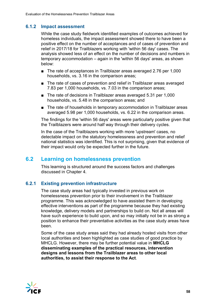## **6.1.2 Impact assessment**

While the case study fieldwork identified examples of outcomes achieved for homeless individuals, the impact assessment showed there to have been a positive effect on the number of acceptances and of cases of prevention and relief in 2017/18 for Trailblazers working with 'within 56 day' cases. The analysis showed less of an effect on the number of decisions and numbers in temporary accommodation – again in the 'within 56 days' areas, as shown below:

- The rate of acceptances in Trailblazer areas averaged 2.76 per 1,000 households, vs. 3.16 in the comparison areas;
- The rate of cases of prevention and relief in Trailblazer areas averaged 7.83 per 1,000 households, vs. 7.03 in the comparison areas;
- The rate of decisions in Trailblazer areas averaged 5.31 per 1,000 households, vs. 5.48 in the comparison areas; and
- The rate of households in temporary accommodation in Trailblazer areas averaged 5.98 per 1,000 households, vs. 6.22 in the comparison areas.

The findings for the 'within 56 days' areas were particularly positive given that the Trailblazers were around half way through their delivery cycles.

In the case of the Trailblazers working with more 'upstream' cases, no detectable impact on the statutory homelessness and prevention and relief national statistics was identified. This is not surprising, given that evidence of their impact would only be expected further in the future.

## <span id="page-62-0"></span>**6.2 Learning on homelessness prevention**

This learning is structured around the success factors and challenges discussed in Chapter 4.

#### **6.2.1 Existing prevention infrastructure**

The case study areas had typically invested in previous work on homelessness prevention prior to their involvement in the Trailblazer programme. This was acknowledged to have assisted them in developing effective interventions as part of the programme because they had existing knowledge, delivery models and partnerships to build on. Not all areas will have such experience to build upon, and so may initially not be in as strong a position to enhance their preventative activities as the case study areas have been.

Some of the case study areas said they had already hosted visits from other local authorities and been highlighted as case studies of good practice by MHCLG. However, there may be further potential value in **MHCLG disseminating examples of the practical resources, intervention designs and lessons from the Trailblazer areas to other local authorities, to assist their response to the Act**.

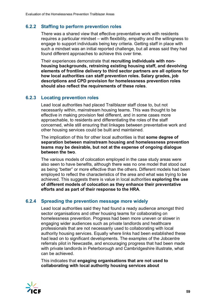## **6.2.2 Staffing to perform prevention roles**

There was a shared view that effective preventative work with residents requires a particular mindset – with flexibility, empathy and the willingness to engage to support individuals being key criteria. Getting staff in place with such a mindset was an initial reported challenge, but all areas said they had found different approaches to achieve this over time.

Their experiences demonstrate that **recruiting individuals with nonhousing backgrounds, retraining existing housing staff, and devolving elements of frontline delivery to third sector partners are all options for how local authorities can staff prevention roles. Salary grades, job descriptions and CPD provision for homelessness prevention roles should also reflect the requirements of these roles**.

#### **6.2.3 Locating prevention roles**

Lead local authorities had placed Trailblazer staff close to, but not necessarily within, mainstream housing teams. This was thought to be effective in making provision feel different, and in some cases more approachable, to residents and differentiating the roles of the staff concerned, while still ensuring that linkages between preventative work and other housing services could be built and maintained.

The implication of this for other local authorities is that **some degree of separation between mainstream housing and homelessness prevention teams may be desirable, but not at the expense of ongoing dialogue between the two**.

The various models of colocation employed in the case study areas were also seen to have benefits, although there was no one model that stood out as being "better" or more effective than the others. Different models had been employed to reflect the characteristics of the area and what was trying to be achieved. This suggests there is value in local authorities **exploring the use of different models of colocation as they enhance their preventative efforts and as part of their response to the HRA**.

#### **6.2.4 Spreading the prevention message more widely**

Lead local authorities said they had found a ready audience amongst third sector organisations and other housing teams for collaborating on homelessness prevention. Progress had been more uneven or slower in engaging wider audiences such as private landlords and healthcare professionals that are not necessarily used to collaborating with local authority housing services. Equally where links had been established these had lead on to significant developments. The examples of the Jobcentre referrals pilot in Newcastle, and encouraging progress that had been made with private landlords in Peterborough and Cambridgeshire illustrate, what can be achieved.

This indicates that **engaging organisations that are not used to collaborating with local authority housing services about** 

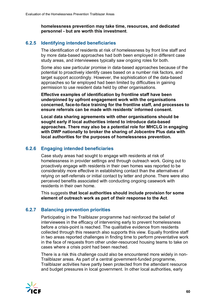**homelessness prevention may take time, resources, and dedicated personnel - but are worth this investment**.

### **6.2.5 Identifying intended beneficiaries**

The identification of residents at risk of homelessness by front line staff and by more data-based approaches had both been employed in different case study areas, and interviewees typically saw ongoing roles for both.

Some also saw particular promise in data-based approaches because of the potential to proactively identify cases based on a number risk factors, and target support accordingly. However, the sophistication of the data-based approaches so far employed had been limited by difficulties in gaining permission to use resident data held by other organisations.

**Effective examples of identification by frontline staff have been underpinned by upfront engagement work with the organisations concerned, face-to-face training for the frontline staff, and processes to ensure referrals can be made with residents' informed consent.**

**Local data sharing agreements with other organisations should be sought early if local authorities intend to introduce data-based approaches. There may also be a potential role for MHCLG in engaging with DWP nationally to broker the sharing of Jobcentre Plus data with local authorities for the purposes of homelessness prevention.**

#### **6.2.6 Engaging intended beneficiaries**

Case study areas had sought to engage with residents at risk of homelessness in provider settings and through outreach work. Going out to proactively engage with residents in their own homes was reported to be considerably more effective in establishing contact than the alternatives of relying on self-referrals or initial contact by letter and phone. There were also perceived benefits associated with conducting ongoing casework with residents in their own home.

This suggests **that local authorities should include provision for some element of outreach work as part of their response to the Act**.

#### **6.2.7 Balancing prevention priorities**

Participating in the Trailblazer programme had reinforced the belief of interviewees in the efficacy of intervening early to prevent homelessness before a crisis-point is reached. The qualitative evidence from residents collected through this research also supports this view. Equally frontline staff in two areas reported challenges in finding time to perform preventative work in the face of requests from other under-resourced housing teams to take on cases where a crisis point had been reached.

There is a risk this challenge could also be encountered more widely in non-Trailblazer areas. As part of a central government-funded programme, Trailblazer activities have partly been protected from the attendant resource and budget pressures in local government. In other local authorities, early

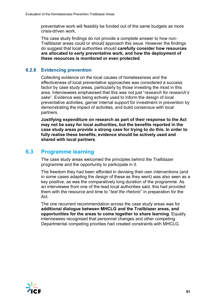preventative work will feasibly be funded out of the same budgets as more crisis-driven work.

The case study findings do not provide a complete answer to how non-Trailblazer areas could or should approach this issue. However the findings do suggest that local authorities should **carefully consider how resources are allocated to early preventative work, and how the deployment of these resources is monitored or even protected**.

#### **6.2.8 Evidencing prevention**

Collecting evidence on the local causes of homelessness and the effectiveness of local preventative approaches was considered a success factor by case study areas, particularly by those investing the most in this area. Interviewees emphasised that this was not just "*research for research's sake*". Evidence was being actively used to inform the design of local preventative activities, garner internal support for investment in prevention by demonstrating the impact of activities, and build consensus with local partners.

**Justifying expenditure on research as part of their response to the Act may not be easy for local authorities, but the benefits reported in the case study areas provide a strong case for trying to do this. In order to fully realise these benefits, evidence should be actively used and shared with local partners**.

## <span id="page-65-0"></span>**6.3 Programme learning**

The case study areas welcomed the principles behind the Trailblazer programme and the opportunity to participate in it.

The freedom they had been afforded in devising their own interventions (and in some cases adapting the design of these as they went) was also seen as a key positive, as was the comparatively long duration of the programme. As an interviewee from one of the lead local authorities said, this had provided them with the resource and time to "*test the rhetoric*" in preparation for the **Act** 

The one recurrent recommendation across the case study areas was for **additional dialogue between MHCLG and the Trailblazer areas, and opportunities for the areas to come together to share learning**. Equally interviewees recognised that personnel changes and other competing Departmental competing priorities had created constraints with MHCLG.

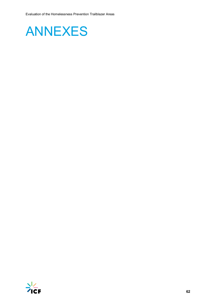<span id="page-66-0"></span>

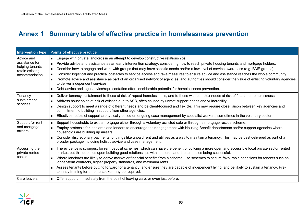## **Annex 1 Summary table of effective practice in homelessness prevention**

<span id="page-67-0"></span>

| Intervention type                                                                   | <b>Points of effective practice</b>                                                                                                                                                                                                                                                                                                                                                                                                                                                                                                                                                                                                                                                                                                                                                                                                                                                                                 |
|-------------------------------------------------------------------------------------|---------------------------------------------------------------------------------------------------------------------------------------------------------------------------------------------------------------------------------------------------------------------------------------------------------------------------------------------------------------------------------------------------------------------------------------------------------------------------------------------------------------------------------------------------------------------------------------------------------------------------------------------------------------------------------------------------------------------------------------------------------------------------------------------------------------------------------------------------------------------------------------------------------------------|
| Advice and<br>assistance for<br>helping tenants<br>retain existing<br>accommodation | Engage with private landlords in an attempt to develop constructive relationships.<br>$\blacksquare$<br>Provide advice and assistance as an early intervention strategy, considering how to reach private housing tenants and mortgage holders.<br>$\blacksquare$<br>Consider how to engage and work with groups that may have specific needs and/or a low level of service awareness (e.g. BME groups).<br>Consider logistical and practical obstacles to service access and take measures to ensure advice and assistance reaches the whole community.<br>$\blacksquare$<br>Promote advice and assistance as part of an organised network of agencies, and authorities should consider the value of enlisting voluntary agencies<br>$\blacksquare$<br>to deliver independent services.<br>Debt advice and legal advice/representation offer considerable potential for homelessness prevention.<br>$\blacksquare$ |
| Tenancy<br>sustainment<br>services                                                  | Deliver tenancy sustainment to those at risk of repeat homelessness, and to those with complex needs at risk of first-time homelessness.<br>$\blacksquare$<br>Address households at risk of eviction due to ASB, often caused by unmet support needs and vulnerability.<br>$\blacksquare$<br>Design support to meet a range of different needs and be client-focused and flexible. This may require close liaison between key agencies and<br>$\blacksquare$<br>commitment to building in support from other agencies.<br>Effective models of support are typically based on ongoing case management by specialist workers, sometimes in the voluntary sector.<br>$\blacksquare$                                                                                                                                                                                                                                    |
| Support for rent<br>and mortgage<br>arrears                                         | Support households to exit a mortgage either through a voluntary assisted sale or through a mortgage rescue scheme.<br>$\blacksquare$<br>Employ protocols for landlords and lenders to encourage their engagement with Housing Benefit departments and/or support agencies where<br>$\blacksquare$<br>households are building up arrears.<br>Consider discretionary payments for things like unpaid rent and utilities as a way to maintain a tenancy. This may be best delivered as part of a<br>$\blacksquare$<br>broader package including holistic advice and case management.                                                                                                                                                                                                                                                                                                                                  |
| Accessing the<br>private rented<br>sector                                           | The evidence is strongest for rent deposit schemes, which can have the benefit of building a more open and accessible local private sector rented<br>$\blacksquare$<br>market, but this depends upon building good relationships with landlords and the tenancies being successful.<br>Where landlords are likely to derive market or financial benefits from a scheme, use schemes to secure favourable conditions for tenants such as<br>$\blacksquare$<br>longer-term contracts, higher property standards, and maximum rents.<br>Assess tenants before putting forward for a tenancy, and ensure they are capable of independent living, and be likely to sustain a tenancy. Pre-<br>$\blacksquare$<br>tenancy training for a home-seeker may be required.                                                                                                                                                      |
| Care leavers                                                                        | Offer support immediately from the point of leaving care, or even just before.<br>$\blacksquare$                                                                                                                                                                                                                                                                                                                                                                                                                                                                                                                                                                                                                                                                                                                                                                                                                    |

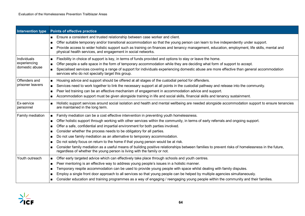| <b>Intervention type</b>                      | <b>Points of effective practice</b>                                                                                                                                                                                                                                                                                                                                                                                                                                                                                                                                                                                                                                                                                                                                                                                                     |
|-----------------------------------------------|-----------------------------------------------------------------------------------------------------------------------------------------------------------------------------------------------------------------------------------------------------------------------------------------------------------------------------------------------------------------------------------------------------------------------------------------------------------------------------------------------------------------------------------------------------------------------------------------------------------------------------------------------------------------------------------------------------------------------------------------------------------------------------------------------------------------------------------------|
|                                               | Ensure a consistent and trusted relationship between case worker and client.<br>$\blacksquare$<br>Offer suitable temporary and/or transitional accommodation so that the young person can learn to live independently under support.<br>п<br>Provide access to wider holistic support such as training on finances and tenancy management, education, employment, life skills, mental and<br>п<br>physical health services, and engagement in social networks.                                                                                                                                                                                                                                                                                                                                                                          |
| Individuals<br>experiencing<br>domestic abuse | Flexibility in choice of support is key, in terms of funds provided and options to stay or leave the home.<br>п<br>Offer people a safe space in the form of temporary accommodation while they are deciding what form of support to accept.<br>п<br>Specialised services covering a range of support for individuals experiencing domestic abuse are more effective than general accommodation<br>services who do not specially target this group.                                                                                                                                                                                                                                                                                                                                                                                      |
| Offenders and<br>prisoner leavers             | Housing advice and support should be offered at all stages of the custodial period for offenders.<br>п<br>Services need to work together to link the necessary support at all points in the custodial pathway and release into the community.<br>$\blacksquare$<br>Peer led training can be an effective mechanism of engagement in accommodation advice and support.<br>п<br>Accommodation support must be given alongside training in life and social skills, financial skills and tenancy sustainment.<br>п                                                                                                                                                                                                                                                                                                                          |
| Ex-service<br>personnel                       | Holistic support services around social isolation and health and mental wellbeing are needed alongside accommodation support to ensure tenancies<br>$\blacksquare$<br>are maintained in the long term.                                                                                                                                                                                                                                                                                                                                                                                                                                                                                                                                                                                                                                  |
| Family mediation                              | Family mediation can be a cost effective intervention in preventing youth homelessness.<br>п<br>Offer holistic support through working with other services within the community, in terms of early referrals and ongoing support.<br>п<br>Offer a safe, confidential and impartial environment for both parties involved.<br>п<br>Consider whether the process needs to be obligatory for all parties.<br>■<br>Do not use family mediation as an alternative to temporary accommodation.<br>$\blacksquare$<br>Do not solely focus on return to the home if that young person would be at risk.<br>п<br>Consider family mediation as a useful means of building positive relationships between families to prevent risks of homelessness in the future,<br>п<br>regardless of whether the young person is living with the family or not. |
| Youth outreach                                | Offer early targeted advice which can effectively take place through schools and youth centres.<br>$\blacksquare$<br>Peer mentoring is an effective way to address young people's issues in a holistic manner.<br>$\blacksquare$<br>Temporary respite accommodation can be used to provide young people with space whilst dealing with family disputes.<br>■<br>Employ a single front door approach to all services so that young people can be helped by multiple agencies simultaneously.<br>п<br>Consider education and training programmes as a way of engaging / reengaging young people within the community and their families.<br>п                                                                                                                                                                                             |